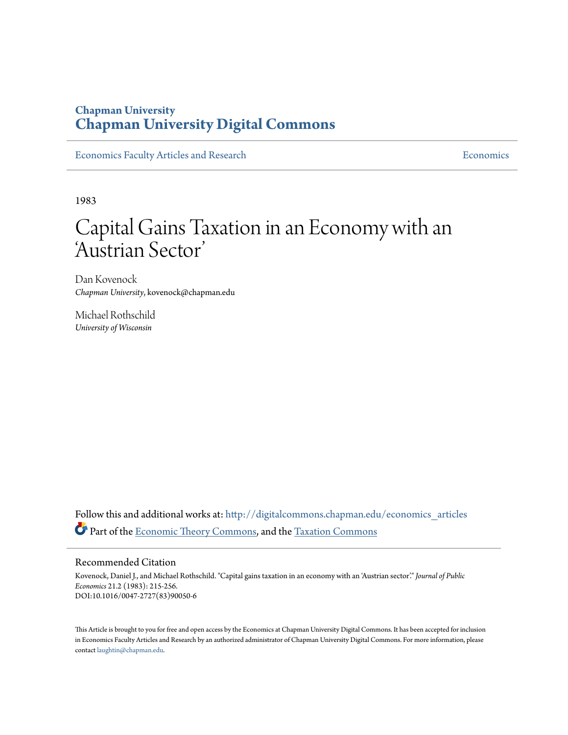# **Chapman University [Chapman University Digital Commons](http://digitalcommons.chapman.edu?utm_source=digitalcommons.chapman.edu%2Feconomics_articles%2F120&utm_medium=PDF&utm_campaign=PDFCoverPages)**

[Economics Faculty Articles and Research](http://digitalcommons.chapman.edu/economics_articles?utm_source=digitalcommons.chapman.edu%2Feconomics_articles%2F120&utm_medium=PDF&utm_campaign=PDFCoverPages) **[Economics](http://digitalcommons.chapman.edu/economics?utm_source=digitalcommons.chapman.edu%2Feconomics_articles%2F120&utm_medium=PDF&utm_campaign=PDFCoverPages)** Economics

1983

# Capital Gains Taxation in an Economy with an 'Austrian Sector '

Dan Kovenock *Chapman University*, kovenock@chapman.edu

Michael Rothschild *University of Wisconsin*

Follow this and additional works at: [http://digitalcommons.chapman.edu/economics\\_articles](http://digitalcommons.chapman.edu/economics_articles?utm_source=digitalcommons.chapman.edu%2Feconomics_articles%2F120&utm_medium=PDF&utm_campaign=PDFCoverPages) Part of the [Economic Theory Commons,](http://network.bepress.com/hgg/discipline/344?utm_source=digitalcommons.chapman.edu%2Feconomics_articles%2F120&utm_medium=PDF&utm_campaign=PDFCoverPages) and the [Taxation Commons](http://network.bepress.com/hgg/discipline/643?utm_source=digitalcommons.chapman.edu%2Feconomics_articles%2F120&utm_medium=PDF&utm_campaign=PDFCoverPages)

## Recommended Citation

Kovenock, Daniel J., and Michael Rothschild. "Capital gains taxation in an economy with an 'Austrian sector'." *Journal of Public Economics* 21.2 (1983): 215-256. DOI:10.1016/0047-2727(83)90050-6

This Article is brought to you for free and open access by the Economics at Chapman University Digital Commons. It has been accepted for inclusion in Economics Faculty Articles and Research by an authorized administrator of Chapman University Digital Commons. For more information, please contact [laughtin@chapman.edu](mailto:laughtin@chapman.edu).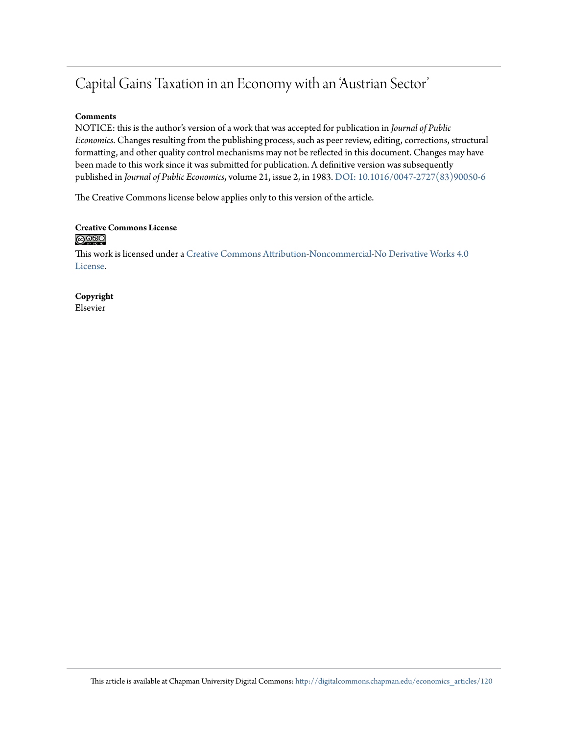# Capital Gains Taxation in an Economy with an 'Austrian Sector'

# **Comments**

NOTICE: this is the author's version of a work that was accepted for publication in *Journal of Public Economics*. Changes resulting from the publishing process, such as peer review, editing, corrections, structural formatting, and other quality control mechanisms may not be reflected in this document. Changes may have been made to this work since it was submitted for publication. A definitive version was subsequently published in *Journal of Public Economics*, volume 21, issue 2, in 1983. [DOI: 10.1016/0047-2727\(83\)90050-6](http://dx.doi.org/DOI:%2010.1016/0047-2727(83)90050-6)

The Creative Commons license below applies only to this version of the article.

### **Creative Commons License**  $\bigcirc$   $\circ$

This work is licensed under a [Creative Commons Attribution-Noncommercial-No Derivative Works 4.0](http://creativecommons.org/licenses/by-nc-nd/4.0/) [License.](http://creativecommons.org/licenses/by-nc-nd/4.0/)

**Copyright** Elsevier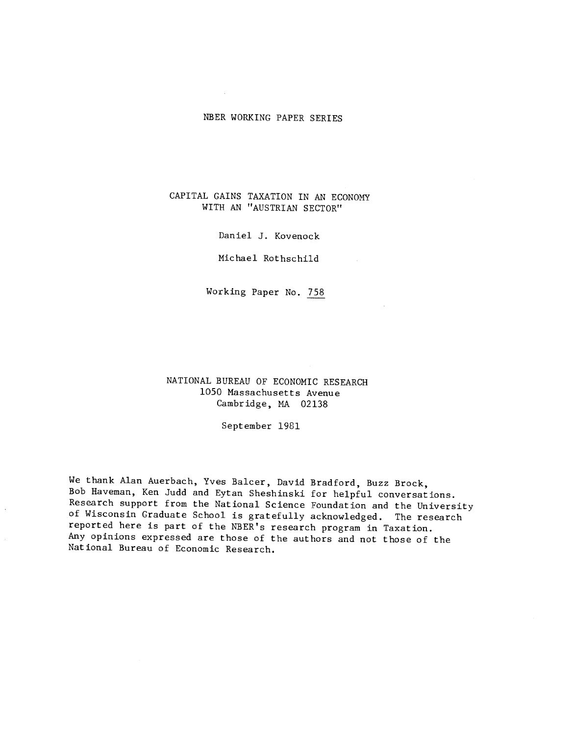## NBER WORKING PAPER SERIES

## CAPITAL GAINS TAXATION IN AN ECONOMY WITH AN "AUSTRIAN SECTOR"

Daniel J. Kovenock

Michael Rothschild

Working Paper No. 758

NATIONAL BUREAU OF ECONOMIC RESEARCH 1050 Massachusetts Avenue Cambridge, MA 02138

September 1981

We thank Alan Auerbach, Yves Balcer, David Bradford, Buzz Brock, Bob Haveman, Ken Judd and Eytan Sheshinski for helpful conversations. Research support from the National Science Foundation and the University of Wisconsin Graduate School is gratefully acknowledged. The research reported here is part of the NBER's research program in Taxation. Any opinions expressed are those of the authors and not those of the National Bureau of Economic Research.

 $\ddot{\phantom{a}}$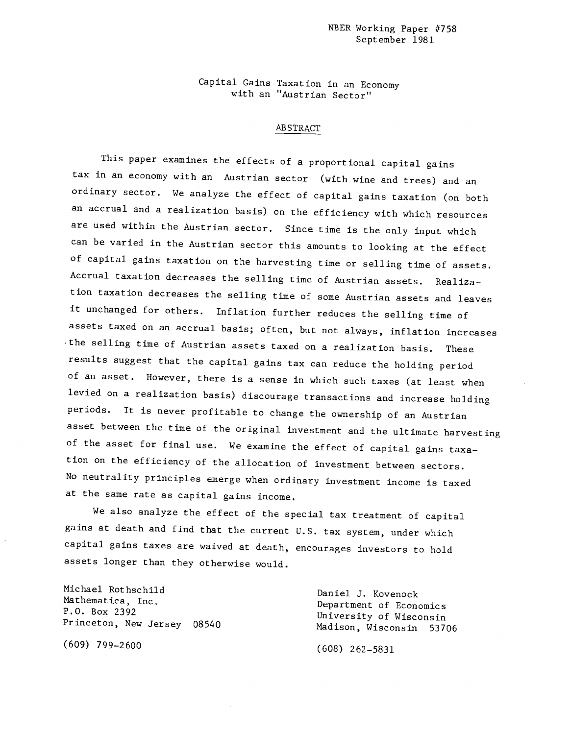#### NBER Working Paper #758 September 1981

Capital Gains Taxation in an Economy with an "Austrian Sector"

### ABSTRACT

This paper examines the effects of a proportional capital gains tax in an economy with an Austrian sector (with wine and trees) and an ordinary sector. We analyze the effect of capital gains taxation (on both an accrual and a realization basis) on the efficiency with which resources are used within the Austrian sector. Since time is the only input which can be varied in the Austrian sector this amounts to looking at the effect of capital gains taxation on the harvesting time or selling time of assets. Accrual taxation decreases the selling time of Austrian assets. Realization taxation decreases the selling time of some Austrian assets and leaves it unchanged for others. Inflation further reduces the selling time of assets taxed on an accrual basis; often, but not always, inflation increases the selling time of Austrian assets taxed on a realization basis. These results suggest that the capital gains tax can reduce the holding period of an asset. However, there is a sense in which such taxes (at least when levied on a realization basis) discourage transactions and increase holding periods. It is never profitable to change the ownership of an Austrian asset between the time of the original investment and the ultimate harvesting of the asset for final use. We examine the effect of capital gains taxation on the efficiency of the allocation of investment between sectors. No neutrality principles emerge when ordinary investment income is taxed at the same rate as capital gains income.

We also analyze the effect of the special tax treatment of capital gains at death and find that the current U.S. tax system, under which capital gains taxes are waived at death, encourages investors to hold assets longer than they otherwise would.

Michael Rothschild<br>
Mathematica, Inc.<br>
Department of Economic

(609) 799—2600 (608) 262—5831

Mathematica, Inc. Department of Economics<br>
P.O. Box 2392 University of Wisconsin<br>
Princeton, New Jersey 08540 Madison, Wisconsin 53706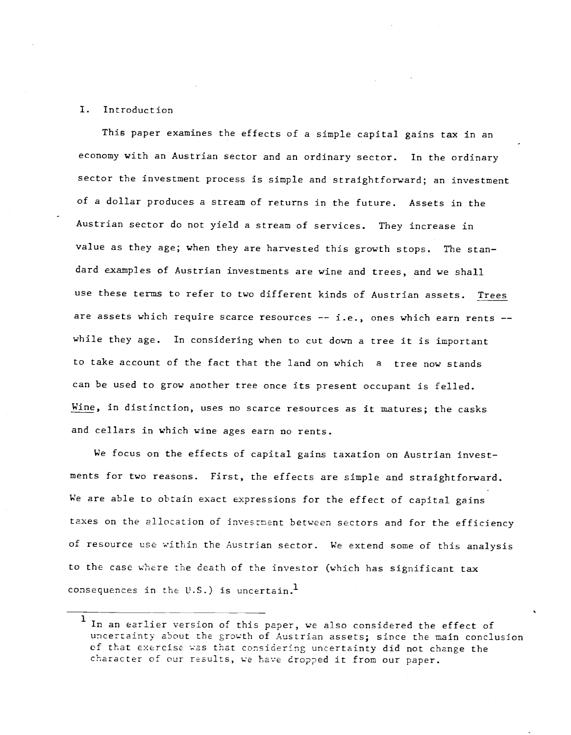#### I. Introduction

This paper examines the effects of a simple capital gains tax in an economy with an Austrian sector and an ordinary sector. In the ordinary sector the investment process is simple and straightforward; an investment of a dollar produces a stream of returns in the future. Assets in the Austrian sector do not yield a stream of services. They increase in value as they age; when they are harvested this growth stops. The standard examples of Austrian investments are wine and trees, and we shall use these terms to refer to two different kinds of Austrian assets. Trees are assets which require scarce resources -- i.e., ones which earn rents -while they age. In considering when to cut down a tree it is important to take account of the fact that the land on which a tree now stands can be used to grow another tree once its present occupant is felled. Wine, in distinction, uses no scarce resources as it matures; the casks and cellars in which wine ages earn no rents.

We focus on the effects of capital gains taxation on Austrian investments for two reasons. First, the effects are simple and straightforward. We are able to obtain exact expressions for the effect of capital gains taxes on the allocation of investment between sectors and for the efficiency of resource use within the Austrian sector. We extend some of this analysis to the case where the death of the investor (which has significant tax consequences in the U.S.) is uncertain.<sup>1</sup>

<sup>&</sup>lt;sup>1</sup> In an earlier version of this paper, we also considered the effect of uncertainty about the growth of Austrian assets; since the main conclusion of that exercise was that considering uncertainty did not change the character of our results, we have dropped it from our paper.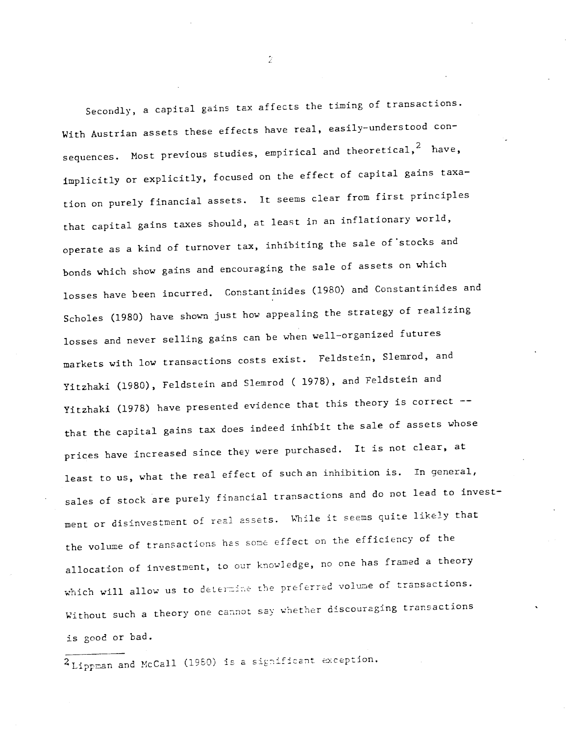Secondly, a capital gains tax affects the timing of transactionS. With Austrian assets these effects have real, easily-understood consequences. Most previous studies, empirical and theoretical,  $2$  have, implicitly or explicitly, focused on the effect of capital gains taxation on purely financial assets. It seems clear from first principles that capital gains taxes should, at least in an inflationary world, operate as a kind of turnover tax, inhibiting the sale of stocks and bonds which show gains and encouraging the sale of assets on which losses have been incurred. Constantinides (1980) and Constantinides and Scholes (1980) have shown just how appealing the strategy of realizing losses and never selling gains can be when well—organized futures markets with low transactions costs exist. Feldstein, Slemrod, and Yitzhaki (1980), Feldstein and Slemrod ( 1978), and Feldstein and Yitzhaki (1978) have presented evidence that this theory is correct -that the capital gains tax does indeed inhibit the sale of assets whose prices have increased since they were purchased. It is not clear, at least to us, what the real effect of such an inhibition is. In general, sales of stock are purely financial transactions and do not lead to investment or disinvestment of real assets. While it seems quite likely that the volume of transactions has some effect on the efficiency of the allocation of investment, to our knowledge, no one has framed a theory which will allow us to determine the preferred volume of transactions. Without such a theory one cannot say whether discouraging transactions is good or bad.

 $^{2}$ Lippman and McCall (1980) is a significant exception.

 $\bar{Z}$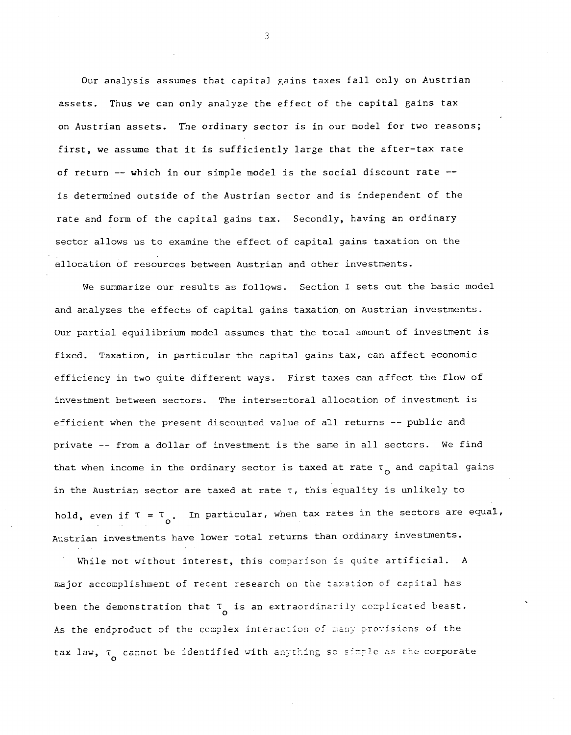Our analysis assumes that capital gains taxes fall only on Austrian assets. Thus we can only analyze the effect of the capital gains tax on Austrian assets. The ordinary sector is in our model for two reasons; first, we assume that it is sufficiently large that the after—tax rate of return -- which in our simple model is the social discount rate -is determined outside of the Austrian sector and is independent of the rate and form of the capital gains tax. Secondly, having an ordinary sector allows us to examine the effect of capital gains taxation on the allocation of resources between Austrian and other investments.

We summarize our results as follows. Section I sets out the basic model and analyzes the effects of capital gains taxation on Austrian investments. Our partial equilibrium model assumes that the total amount of investment is fixed. Taxation, in particular the capital gains tax, can affect economic efficiency in two quite different ways. First taxes can affect the flow of investment between sectors. The intersectoral allocation of investment is efficient when the present discounted value of all returns —— public and private —— from a dollar of investment is the same in all sectors. We find that when income in the ordinary sector is taxed at rate  $\tau_{\alpha}$  and capital gains in the Austrian sector are taxed at rate  $\tau$ , this equality is unlikely to hold, even if  $\tau$  =  $\tau$   $_{\circ}$ . In particular, when tax rates in the sectors are equal, Austrian investments have lower total returns than ordinary investments.

While not without interest, this comparison is quite artificial. A major accomplishment of recent research on the taxation of capital has been the demonstration that  $\tau_{\rm o}$  is an extraordinarily complicated beast. As the endproduct of the complex interaction of many provisions of the tax law,  $\tau_{\alpha}$  cannot be identified with anything so simple as the corporate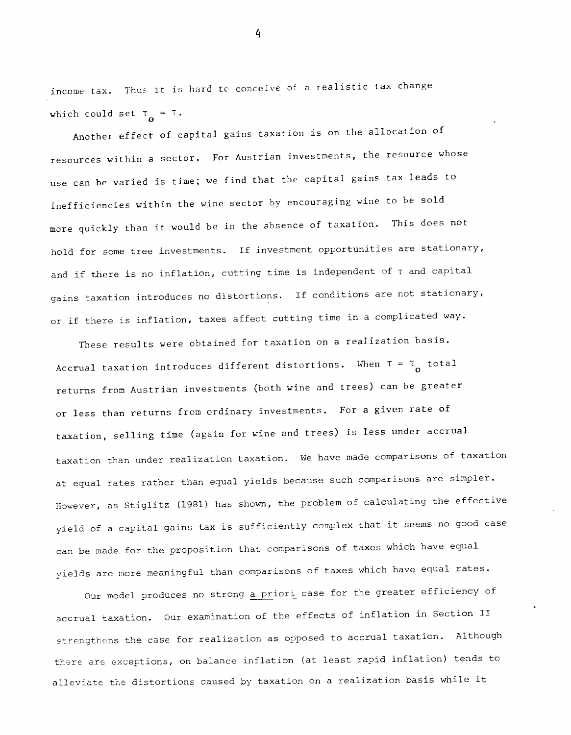income tax. Thus it is hard to conceive of a realistic tax change which could set  $\tau_{\alpha} = \tau$ .

Another effect of capital gains taxation is on the allocation of resources within a sector. For Austrian investments, the resource whose use can be varied is time; we find that the capital gains tax leads to inefficiencies within the wine sector by encouraging wine to be sold more quickly than it would be in the absence of taxation. This does not hold for some tree investments. If investment opportunities are stationary, and if there is no inflation, cutting time is independent of  $\tau$  and capital gains taxation introduces no distortions. If conditions are not stationary, or if there is inflation, taxes affect cutting time in a complicated way.

These results were obtained for taxation on a realization basis. Accrual taxation introduces different distortions. When  $\tau = \tau_{\alpha}$  total returns from Austrian investments (both wine and trees) can be greater or less than returns from ordinary investments. For a given rate of taxation, selling time (again for wine and trees) is less under accrual taxation than under realization taxation. We have made comparisons of taxation at equal rates rather than equal yields because such comparisons are simpler. However, as Stiglitz (1981) has shown, the problem of calculating the effective yield of a capital gains tax is sufficiently complex that it seems no good case can be made for the proposition that comparisons of taxes which have equal yields are more meaningful than comparisons of taxes which have equal rates.

Our model produces no strong a priori case for the greater efficiency of accrual taxation. Our examination of the effects of inflation in Section II strengthens the case for realization as opposed to accrual taxation. Although there are exceptions, on balance inflation (at least rapid inflation) tends to alleviate the distortions caused by taxation on a realization basis while it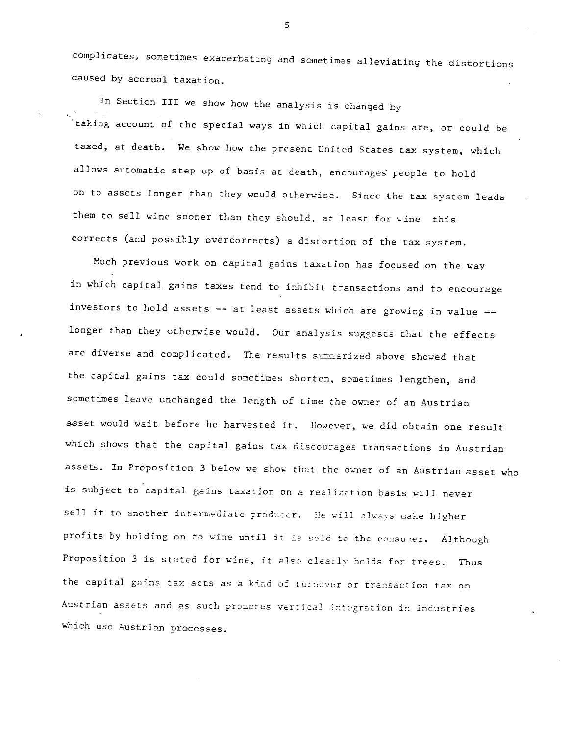complicates, sometimes exacerbating and sometimes alleviating the distortions caused by accrual taxation.

In Section III we show how the analysis is changed by taking account of the special ways in which capital gains are, or could be taxed, at death. We show how the present United States tax system, which allows automatic step up of basis at death, encourages' people to hold on to assets longer than they would otherwise. Since the tax system leads them to sell wine sooner than they should, at least for wine this corrects (and possibly overcorrects) a distortion of the tax system.

Much previous work on capital gains taxation has focused on the way in which capital gains taxes tend to inhibit transactions and to encourage investors to hold assets -- at least assets which are growing in value -longer than they otherwise would. Our analysis suggests that the effects are diverse and complicated. The results summarized above showed that the capital gains tax could sometimes shorten, sometimes lengthen, and sometimes leave unchanged the length of time the owner of an Austrian asset would wait before he harvested it. However, we did obtain one result which shows that the capital gains tax discourages transactions in Austrian assets. In Proposition 3 below we show that the owner of an Austrian asset who is subject to capital gains taxation on a realization basis will never sell it to another intermediate producer. He will always make higher profits by holding on to wine until it is sold to the consumer. Although Proposition 3 is stated for wine, it also clearly holds for trees. Thus the capital gains tax acts as a kind of turnever or transaction tax on Austrian assets and as such promotes vertical integration in industries which use Austrian processes.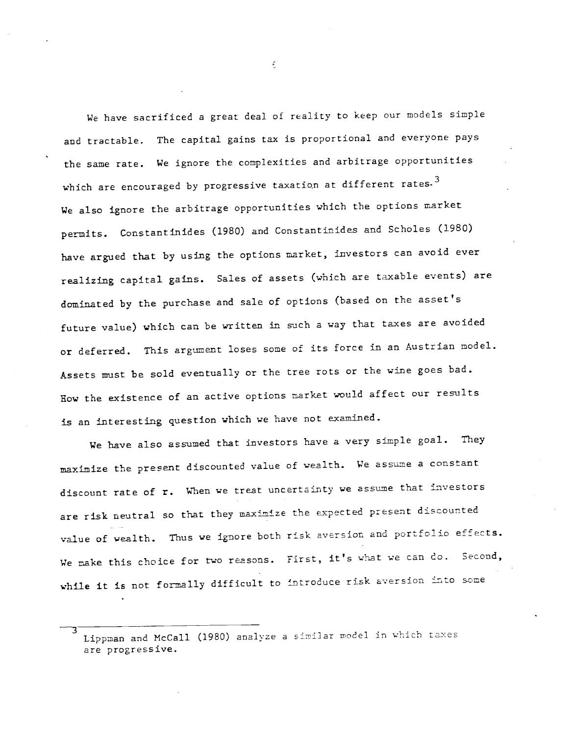We have sacrificed a great deal of reality to keep our models simple and tractable. The capital gains tax is proportional and everyone pays the same rate. We ignore the complexities and arbitrage opportunities which are encouraged by progressive taxation at different rates.<sup>3</sup> We also ignore the arbitrage opportunities which the options market permits. Constantinides (1980) and Constantinides and Scholes (1980) have argued that by using the options market, investors can avoid ever realizing capital gains. Sales of assets (which are taxable events) are dominated by the purchase and sale of options (based on the asset's future value) which can be written in such a way that taxes are avoided or deferred. This argument loses some of its force in an Austrian model. Assets must be sold eventually or the tree rots or the wine goes bad. Row the existence of an active options market would affect our results is an interesting question which we have not examined.

We have also assumed that investors have a very simple goal. They maximize the present discounted value of wealth. We assume a constant discount rate of r. When we treat uncertainty we assume that investors are risk neutral so that they maximize the expected present discounted value of wealth. Thus we ignore both risk aversion and portfolio effects. We make this choice for two reasons. First, it's what we can do. Second, while it is not formally difficult to introduce risk aversion into some

3 Lippman and McCall (1980) analyze a similar model in which taxes are progressive.

 $\epsilon$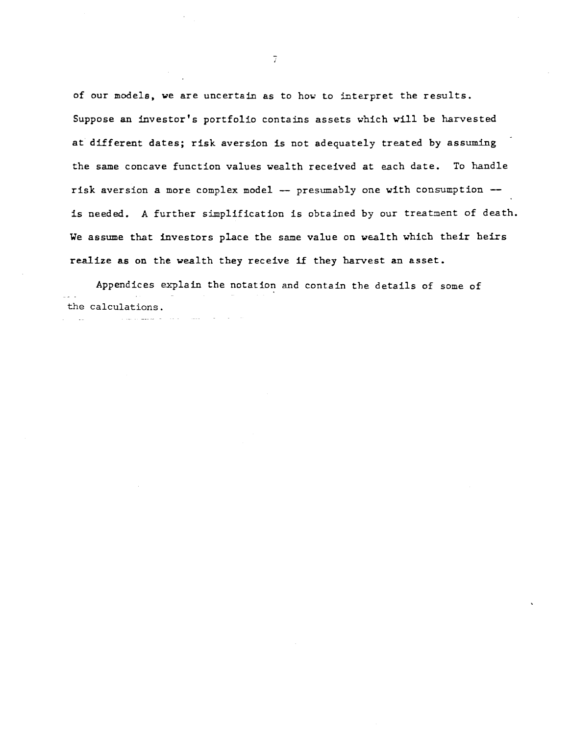of our models, we are uncertain as to how to interpret the results. Suppose an investor's portfolio contains assets which will be harvested at different dates; risk aversion is not adequately treated by assuming the same concave function values wealth received at each date. To handle risk aversion a more complex model — presumably one with consumption is needed. A further simplification is obtained by our treatment of death. We assume that investors place the same value on wealth which their heirs realize as on the wealth they receive if they harvest an asset.

Appendices explain the notation and contain the details of some of the calculations.

 $\overline{I}$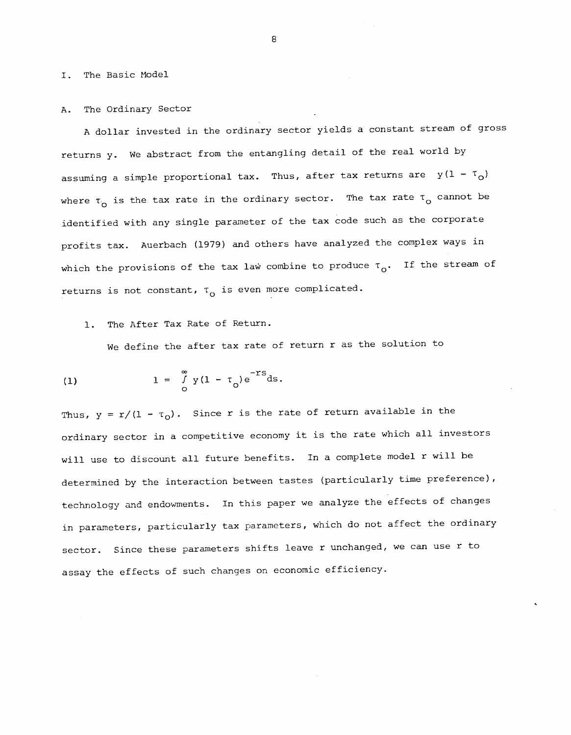I. The Basic Model

#### A. The Ordinary Sector

A dollar invested in the ordinary sector yields a constant stream of gross returns y. We abstract from the entangling detail of the real world by assuming a simple proportional tax. Thus, after tax returns are  $y(1 - \tau_{0})$ where  $\tau_{o}$  is the tax rate in the ordinary sector. The tax rate  $\tau_{o}$  cannot be identified with any single parameter of the tax code such as the corporate profits tax. Auerbach (1979) and others have analyzed the complex ways in which the provisions of the tax law combine to produce  $\tau_{\alpha}$ . If the stream of returns is not constant,  $\tau_{o}$  is even more complicated.

#### 1. The After Tax Rate of Return.

We define the after tax rate of return r as the solution to

(1) 
$$
1 = \int_{0}^{\infty} y(1 - \tau_0) e^{-TS} ds.
$$

Thus,  $y = r/(1 - \tau_0)$ . Since r is the rate of return available in the ordinary sector in a competitive economy it is the rate which all investors will use to discount all future benefits. In a complete model r will be determined by the interaction between tastes (particularly time preference), technology and endowments. In this paper we analyze the effects of changes in parameters, particularly tax parameters, which do not affect the ordinary sector. Since these parameters shifts leave r unchanged, we can use r to assay the effects of such changes on economic efficiency.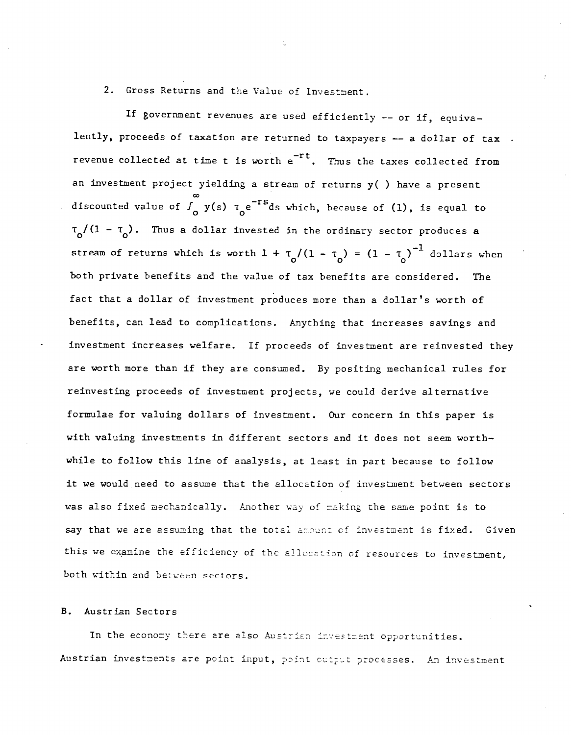# 2. Gross Returns and the Value of Investment.

If government revenues are used efficiently —— or if, equivalently, proceeds of taxation are returned to taxpayers -- a dollar of tax revenue collected at time t is worth  $e^{-rt}$ . Thus the taxes collected from an investment project yielding a stream of returns y( ) have a present discounted value of  $\int_{\Omega} y(s) \tau_{\Omega} e^{-TS} ds$  which, because of (1), is equal to  $\tau_{\Omega}/(1 - \tau_{\Omega})$ . Thus a dollar invested in the ordinary sector produces a stream of returns which is worth  $1 + \tau_o/(1 - \tau_o) = (1 - \tau_o)^{-1}$  dollars when both private benefits and the value of tax benefits are considered. The fact that a dollar of investment produces more than a dollar's worth of benefits, can lead to complications. Anything that increases savings and investment increases welfare. If proceeds of investment are reinvested they are worth more than if they are consumed. By positing mechanical rules for reinvesting proceeds of investment projects, we could derive alternative formulae for valuing dollars of investment. Our concern in this paper is with valuing investments in different sectors and it does not seem worthwhile to follow this line of analysis, at least in part because to follow it we would need to assume that the allocation of investment between sectors was also fixed mechanically. Another way of making the same point is to say that we are assuming that the total anount of investment is fixed. Given this we examine the efficiency of the allocation of resources to investment, both within and between sectors.

#### B. Austrian Sectors

In the economy there are also Austrian investment opportunities. Austrian investments are point input, point output processes. An investment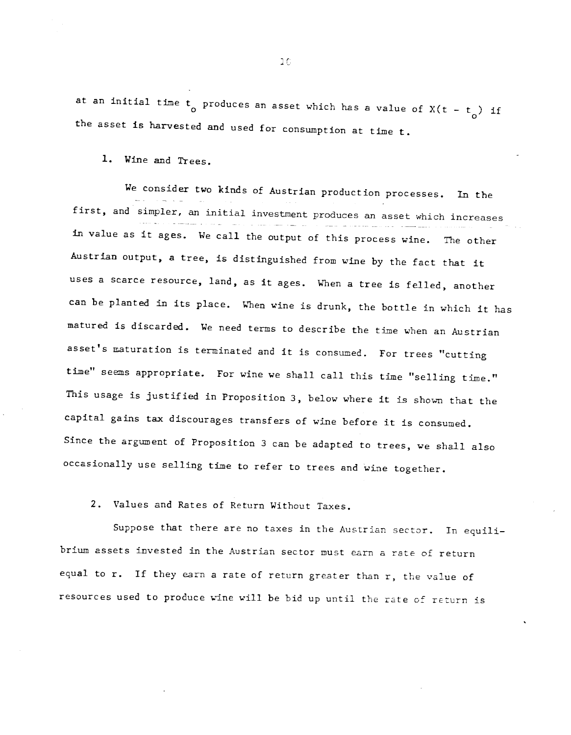at an initial time  $t_{0}$  produces an asset which has a value of  $X(t - t_{0})$  if the asset is harvested and used for consumption at time t.

1. Wine and Trees.

We consider two kinds of Austrian production processes. In the first, and simpler, an initial investment produces an asset which increases in value as it ages. We call the output of this process wine. The other Austrian output, a tree, is distinguished from wine by the fact that it uses a scarce resource, land, as it ages. When a tree is felled, another can be planted in its place. When wine is drunk, the bottle in which it has matured is discarded. We need terms to describe the time when an Austrian asset's maturation is terminated and it is consumed. For trees "cutting time" seems appropriate. For wine we shall call this time "selling time." This usage is justified in Proposition 3, below where it is shown that the capital gains tax discourages transfers of wine before it is consumed. Since the argument of Proposition 3 can be adapted to trees, we shall also occasionally use selling time to refer to trees and wine together.

2. Values and Rates of Return Without Taxes.

Suppose that there are no taxes in the Austrian sector. In equilibrium assets invested in the Austrian sector must earn a rate of return equal to r. If they earn a rate of return greater than r, the value of resources used to produce wine will be bid up until the rate of return is

 $1<sub>C</sub>$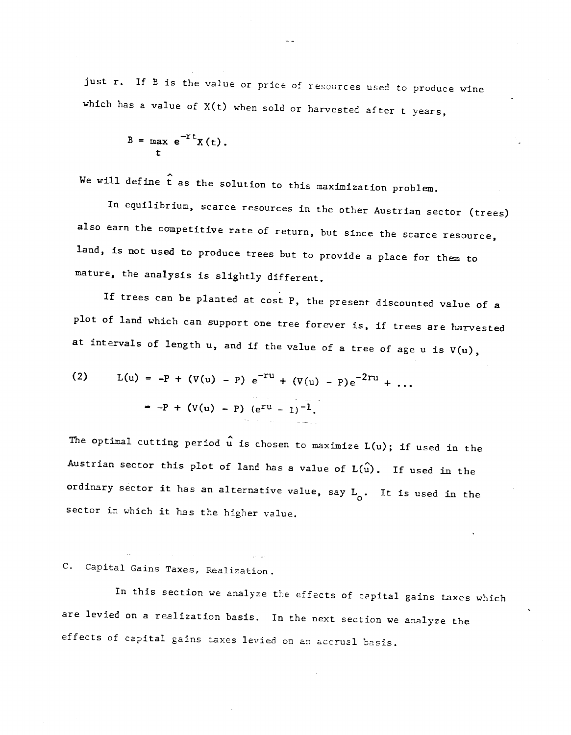just r. If B is the value or price of resources used to produce wine which has a value of  $X(t)$  when sold or harvested after t years,

$$
B = \max_{t} e^{-rt} \chi(t).
$$

We will define  $\hat{t}$  as the solution to this maximization problem.

In equilibrium, scarce resources in the other Austrian sector (trees) also earn the competitive rate of return, but since the scarce resource, land, is not used to produce trees but to provide a place for them to mature, the analysis is slightly different.

If trees can be planted at cost F, the present discounted value of a plot of land which can support one tree forever is, if trees are harvested at intervals of length  $u$ , and if the value of a tree of age  $u$  is  $V(u)$ ,

(2) 
$$
L(u) = -P + (V(u) - P) e^{-Tu} + (V(u) - P) e^{-2ru} + ...
$$
  

$$
= -P + (V(u) - P) (e^{ru} - 1)^{-1}.
$$

The optimal cutting period  $\hat{u}$  is chosen to maximize  $L(u)$ ; if used in the Austrian sector this plot of land has a value of  $L(\hat{u})$ . If used in the ordinary sector it has an alternative value, say  $L_0^{\phantom{\dag}}$ . It is used in the Sector in which it has the higher value.

# C. Capital Gains Taxes, Realization.

In this section we analyze the effects of capital gains taxes which are levied on a realization basis. In the next section we analyze the effects of capital gains taxes levied on an accrual basis.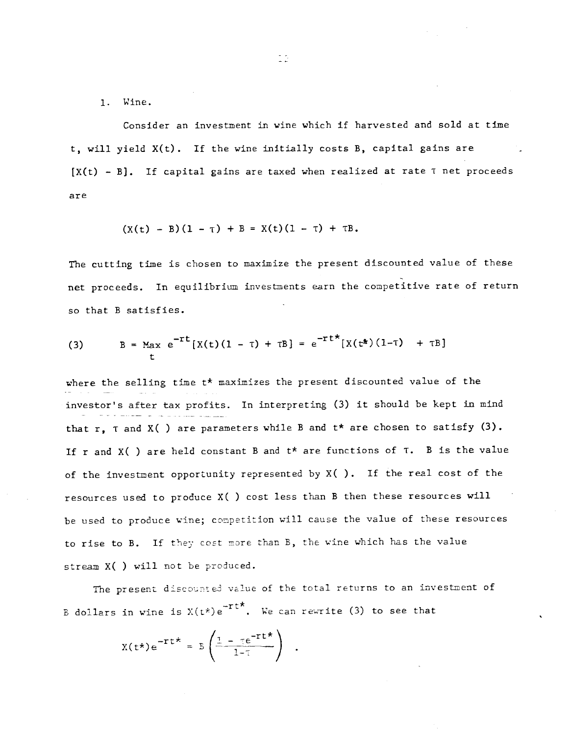1. Wine.

Consider an investment in vine which if harvested and sold at time t, will yield X(t). If the wine initially costs B, capital gains are  $[X(t) - B]$ . If capital gains are taxed when realized at rate T net proceeds are

$$
(X(t) - B)(1 - \tau) + B = X(t)(1 - \tau) + \tau B.
$$

The cutting time is chosen to maximize the present discounted value of these net proceeds. In equilibrium investments earn the competitive rate of return so that B satisfies.

(3) 
$$
B = Max e^{-rt}[X(t)(1 - \tau) + \tau B] = e^{-rt} [X(t^*)(1 - \tau) + \tau B]
$$

where the selling time  $t^*$  maximizes the present discounted value of the investor's after tax profits. In interpreting (3) it should be kept in mind that r,  $\tau$  and  $X($  ) are parameters while B and  $t*$  are chosen to satisfy (3). If r and  $X( )$  are held constant B and  $t*$  are functions of T. B is the value of the investment opportunity represented by  $X( )$ . If the real cost of the resources used to produce X( ) cost less than B then these resources will be used to produce wine; conpetition will cause the value of these resources to rise to B. If they cost more than B, the wine which has the value stream x( ) will not be produced.

The present discounted value of the total returns to an investment of B dollars in wine is  $X(t^{\star})e^{-rt^{\star}}$ . We can rewrite (3) to see that

$$
X(t^{\star})e^{-\tau t^{\star}} = 5\left(\frac{1-\tau e^{-\tau t^{\star}}}{1-\tau}\right) .
$$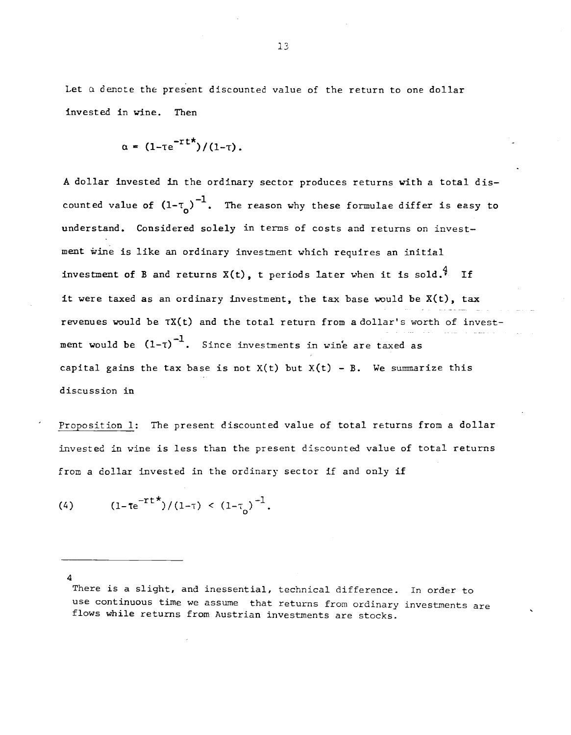Let  $\alpha$  denote the present discounted value of the return to one dollar invested in wine. Then

$$
\alpha = (1-\tau e^{-\tau t\star})/(1-\tau).
$$

A dollar invested in the ordinary sector produces returns with a total discounted value of  $(1-\tau_{\rho})^{-1}$ . The reason why these formulae differ is easy to understand. Considered solely in terms of costs and returns on investment wine is like an ordinary investment which requires an initial investment of B and returns  $X(t)$ , t periods later when it is sold.<sup>4</sup> If it were taxed as an ordinary investment, the tax base would be  $X(t)$ , tax revenues would be TX(t) and the total return from a dollar's worth of invest ment would be  $(1-\tau)^{-1}$ . Since investments in wine are taxed as capital gains the tax base is not  $X(t)$  but  $X(t)$  - B. We summarize this discussion in

Proposition 1: The present discounted value of total returns from a dollar invested in wine is less than the present discounted value of total returns from a dollar invested in the ordinary sector if and only if

(4) 
$$
(1-\tau e^{-\tau t}\dot{\tau})/(1-\tau) < (1-\tau_0)^{-1}
$$
.

4

There is a slight, and inessential, technical difference. In order to use continuous time we assume that returns from ordinary investments are flows while returns from Austrian investments are stocks.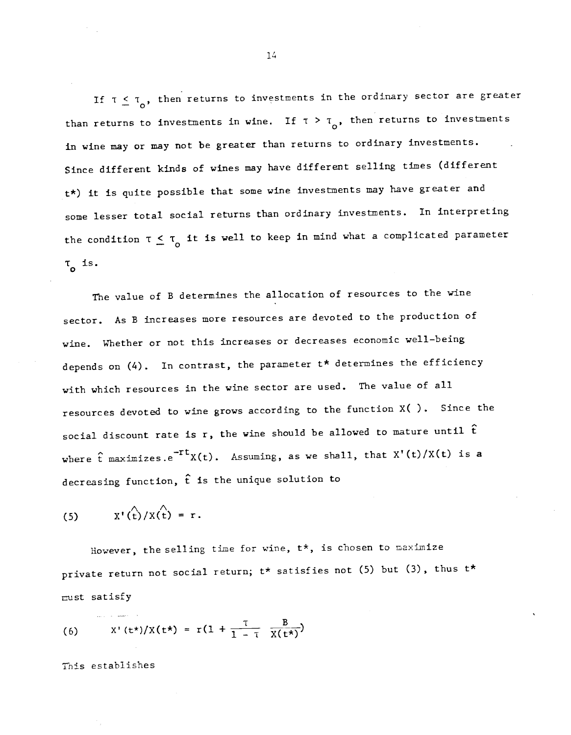If  $\tau \leq \tau_o$ , then returns to investments in the ordinary sector are greater than returns to investments in wine. If  $\tau > \tau_{\mathbf{o}}$ , then returns to investments in wine may or may not be greater than returns to ordinary investments. Since different kinds of wines may have different selling times (different t\*) it is quite possible that some wine investments may have greater and some lesser total social returns than ordinary investments. In interpreting the condition  $\tau \leq \tau_0$  it is well to keep in mind what a complicated parameter  $\tau_{o}$  is.

The value of B determines the allocation of resources to the wine sector. As B increases more resources are devoted to the production of wine. Whether or not this increases or decreases economic well—being depends on  $(4)$ . In contrast, the parameter  $t*$  determines the efficiency with which resources in the wine sector are used. The value of all resources devoted to wine grows according to the function X( ). Since the social discount rate is r, the wine should be allowed to mature until  $\hat{t}$ where  $\hat{t}$  maximizes.e<sup>-rt</sup>X(t). Assuming, as we shall, that X'(t)/X(t) is a decreasing function, £ is the unique solution to

(5) 
$$
X'(\hat{t})/X(\hat{t}) = r.
$$

However, the selling time for wine, t\*, is chosen to maximize private return not social return;  $t*$  satisfies not (5) but (3), thus  $t*$ must satisfy

(6) 
$$
X'(t^{*})/X(t^{*}) = r(1 + \frac{t}{1 - t} \frac{B}{X(t^{*})})
$$

This establishes

1L4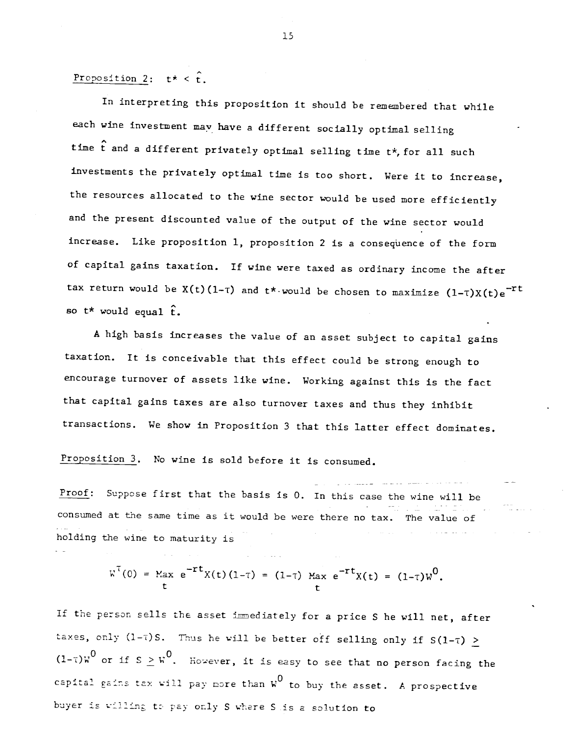Proposition 2:  $t^* < \hat{t}$ .

In interpreting this proposition it should be remembered that while each wine investment may have a different socially optimal selling time £ and a different privately optimal selling time t\*, for all such investments the privately optimal time is too short. Were it to increase, the resources allocated to the wine sector would be used more efficiently and the present discounted value of the output of the wine sector would increase. Like proposition 1, proposition 2 is a consequence of the form of capital gains taxation. If wine were taxed as ordinary income the after tax return would be  $X(t)(1-\tau)$  and  $t\star$  would be chosen to maximize  $(1-\tau)X(t)e^{-\tau t}$ so  $t^*$  would equal  $\hat{t}$ .

A high basis increases the value of an asset subject to capital gains taxation. it is conceivable that this effect could be strong enough to encourage turnover of assets like wine. Working against this is the fact that capital gains taxes are also turnover taxes and thus they inhibit transactions. We show in Proposition 3 that this latter effect dominates.

Proposition 3. No wine is sold before it is consumed.

Proof: Suppose first that the basis is 0. In this case the wine will be consumed at the same time as it would be were there no tax. The value of holding the wine to maturity is

$$
W^{T}(0) = \text{Max } e^{-rt}X(t)(1-\tau) = (1-\tau) \text{ Max } e^{-rt}X(t) = (1-\tau)W^{0}.
$$

If the person sells the asset immediately for a price S he will net, after taxes, only  $(1-\tau)$ S. Thus he will be better off selling only if  $S(1-\tau)$  >  $(1-\tau)w^0$  or if  $s > w^0$ . However, it is easy to see that no person facing the capital gains tax will pay more than  $w^0$  to buy the asset. A prospective buyer is willing to pay only S where S is a solution to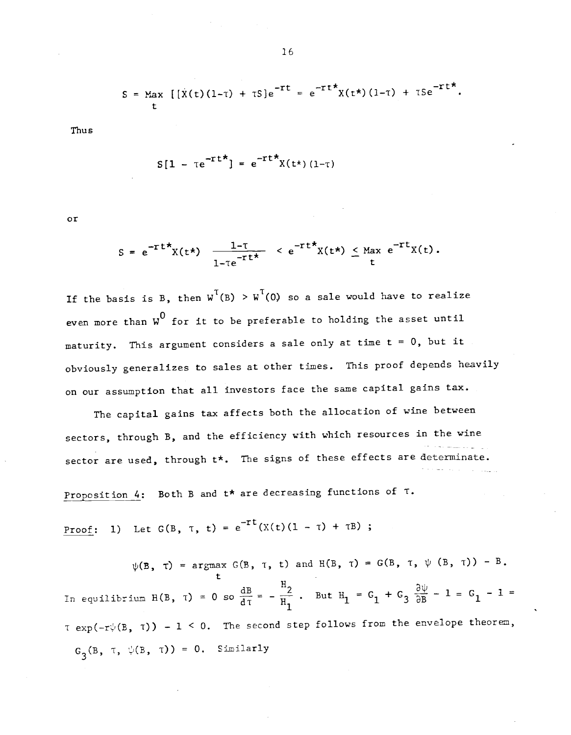$$
S = \text{Max} \left[ \left[ \dot{X}(t) (1-\tau) + \tau S \right] e^{-\tau t} = e^{-\tau t} X(t^{*}) (1-\tau) + \tau S e^{-\tau t^{*}}.
$$

Thus

$$
S[1 - \tau e^{-\tau t \star}] = e^{-\tau t \star} X(t \star) (1-\tau)
$$

or

$$
S = e^{-rt^*}X(t^*) \frac{1-\tau}{1-\tau e^{-rt^*}} < e^{-rt^*}X(t^*) \leq \text{Max } e^{-rt}X(t).
$$

If the basis is B, then  $w^T(B) > w^T(0)$  so a sale would have to realize even more than  $\mu^0$  for it to be preferable to holding the asset until maturity. This argument considers a sale only at time  $t = 0$ , but it obviously generalizes to sales at other times. This proof depends heavily on our assumption that all investors face the same capital gains tax.

The capital gains tax affects both the allocation of wine between sectors, through B, and the efficiency with which resources in the wine sector are used, through  $t*$ . The signs of these effects are determinate.

Proposition 4: Both B and  $t*$  are decreasing functions of  $\tau$ .

Proof: 1) Let  $G(B, \tau, t) = e^{-rt}(X(t)(1 - \tau) + \tau B)$ ;

 $\psi(B, \tau)$  = argmax G(B,  $\tau$ , t) and H(B,  $\tau$ ) = G(B,  $\tau$ ,  $\psi$  (B,  $\tau$ )) - B. In equilibrium H(B,  $\tau$ ) = 0 so  $\frac{dB}{d\tau} = -\frac{H_2}{H_1}$ . But  $H_1 = G_1 + G_3$   $\frac{\partial \psi}{\partial B} - 1 = G_1 - 1 =$  $\tau$  exp(-r $\psi$ (B,  $\tau$ )) - 1 < 0. The second step follows from the envelope theorem,  $G_3(B, \tau, \psi(B, \tau)) = 0.$  Similarly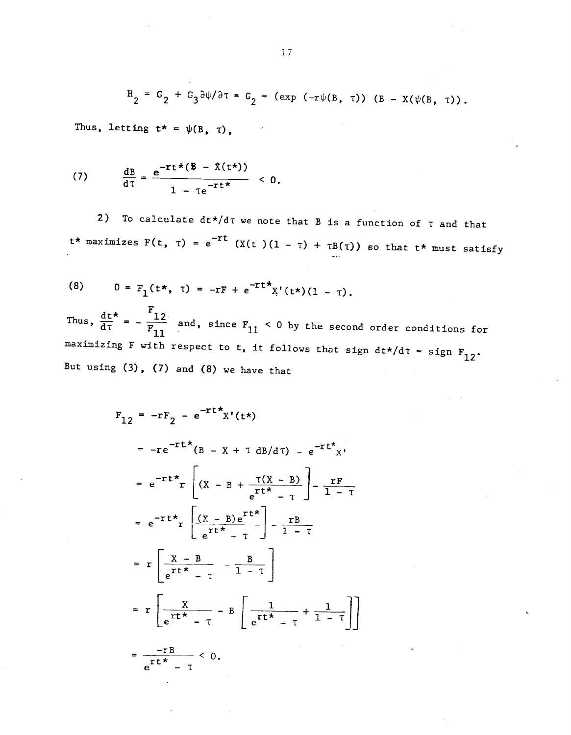$$
H_2 = G_2 + G_3 \frac{\partial \psi}{\partial \tau} = G_2 = (exp (-\tau \psi(B, \tau)) (B - X(\psi(B, \tau)).
$$

Thus, letting  $t^* = \psi(B, \tau)$ ,

(7) 
$$
\frac{dB}{d\tau} = \frac{e^{-rt \star (\overline{B} - \overline{\lambda}(t^*) )}}{1 - \tau e^{-rt \star}} < 0.
$$

2) To calculate  $dt*/dt$  we note that B is a function of  $\tau$  and that  $t^*$  maximizes  $F(t, \tau) = e^{-rt}$  (X(t)(1 -  $\tau$ ) +  $\tau B(\tau)$ ) so that  $t^*$  must satisfy

(8) 
$$
0 = F_1(t*, \tau) = -rF + e^{-rt} \chi'(t*)(1 - \tau).
$$

Thus,  $\frac{dt}{dt} = -\frac{F_{12}}{F_{11}}$  and, since  $F_{11} < 0$  by the second order conditions for maximizing F with respect to t, it follows that sign  $dt*/d\tau =$  sign  $F_{12}$ . But using  $(3)$ ,  $(7)$  and  $(8)$  we have that

$$
F_{12} = -rF_2 - e^{-rt}x^{r}(t^{+})
$$
  
\n
$$
= -re^{-rt^{+}}(B - X + \tau dB/d\tau) - e^{-rt^{+}}x^{r}
$$
  
\n
$$
= e^{-rt^{+}}r \left[ (X - B + \frac{\tau(X - B)}{e^{rt^{+}} - \tau} - \frac{rF}{1 - \tau} - \frac{rF}{1 - \tau} + \frac{rK}{e^{rt^{+}} - \tau} - \frac{rB}{1 - \tau} - \frac{rB}{1 - \tau} - \frac{r}{1 - \tau} - \frac{r}{1 - \tau} \right]
$$
  
\n
$$
= r \left[ \frac{X - B}{e^{rt^{+}} - \tau} - \frac{B}{1 - \tau} \right]
$$
  
\n
$$
= r \left[ \frac{X}{e^{rt^{+}} - \tau} - B \left[ \frac{1}{e^{rt^{+}} - \tau} + \frac{1}{1 - \tau} \right] \right]
$$
  
\n
$$
= \frac{-rB}{e^{rt^{+}} - \tau} < 0.
$$

-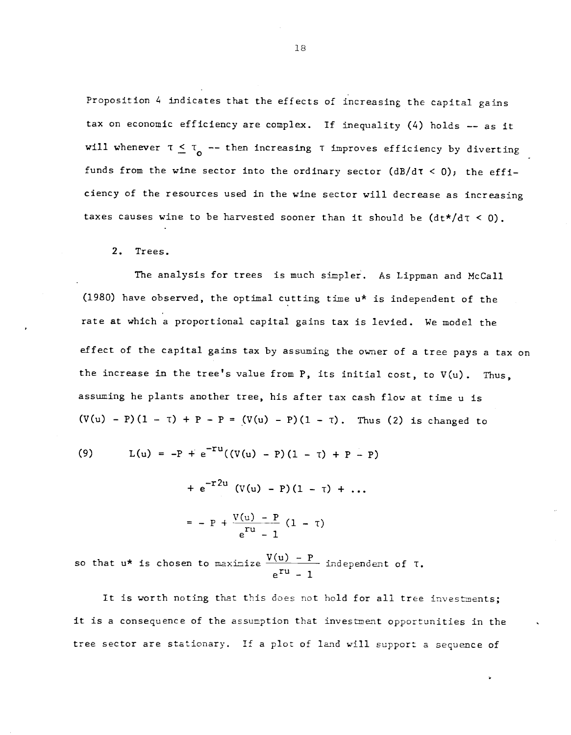Proposition 4 indicates that the effects of increasing the capital gains tax on economic efficiency are complex. If inequality (4) holds —— as it will whenever  $\tau \leq \tau_0$  -- then increasing  $\tau$  improves efficiency by diverting funds from the wine sector into the ordinary sector  $(dB/dT < 0)$ ; the efficiency of the resources used in the wine sector will decrease as increasing taxes causes wine to be harvested sooner than it should be  $(dt*/dt < 0)$ .

2. Trees.

The analysis for trees is much simpler. As Lippman and McCall (1980) have observed, the optimal cutting time u\* is independent of the rate at which a proportional capital gains tax is levied. We model the effect of the capital gains tax by assuming the owner of a tree pays a tax on the increase in the tree's value from  $P$ , its initial cost, to  $V(u)$ . Thus, assuming he plants another tree, his after tax cash flow at time u is  $(V(u) - P)(1 - T) + P - P = (V(u) - P)(1 - T)$ . Thus (2) is changed to

(9) 
$$
L(u) = -P + e^{-T}((V(u) - P)(1 - T) + P - P)
$$

+  $e^{-r2u}$  (V(u) – P)(1 –  $\tau$ ) + ...  $= - P + \frac{V(u) - P}{T} (1 - \tau)$ — 1

so that  $u^*$  is chosen to maximize  $\frac{V(u) - P}{e^{ru} - 1}$  independent of T.

It is worth noting that this does not hold for all tree investments; it is a consequence of the assumption that investment opportunities in the tree sector are stationary. If a plot of land will support a sequence of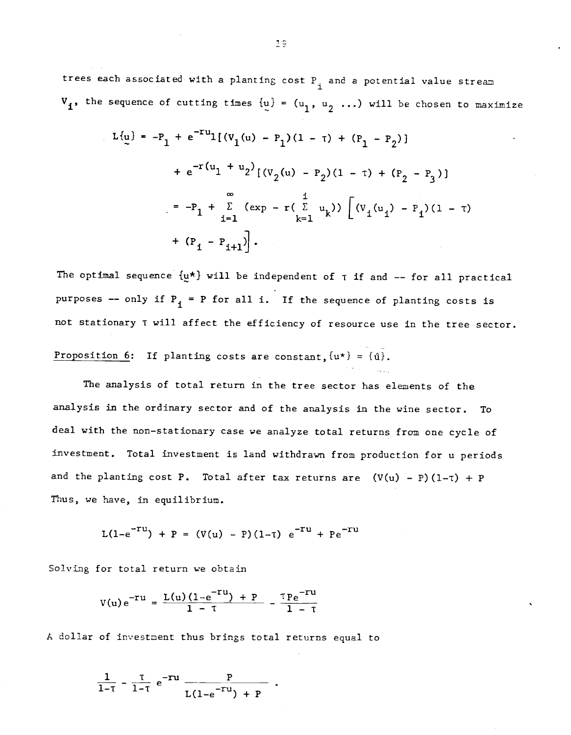trees each associated with a planting cost  $P_{i}$  and a potential value stream  $V_1$ , the sequence of cutting times  $\{u\} = (u_1, u_2 \dots)$  will be chosen to maximize

$$
L{u} = -P_1 + e^{-Tu}I[(v_1(u) - P_1)(1 - \tau) + (P_1 - P_2)]
$$
  
+  $e^{-r(u_1 + u_2)}[(v_2(u) - P_2)(1 - \tau) + (P_2 - P_3)]$   
=  $-P_1 + \sum_{i=1}^{\infty} (exp - r(\sum_{k=1}^{i} u_k)) [ (v_1(u_1) - P_1)(1 - \tau) + (P_1 - P_{i+1})].$ 

The optimal sequence  $\{u^*\}\$  will be independent of  $\tau$  if and -- for all practical purposes -- only if  $P_1$  = P for all i. If the sequence of planting costs is not stationary T will affect the efficiency of resource use in the tree sector.

Proposition 6: If planting costs are constant,  $\{u^*\} = {\hat{u}}$ .

The analysis of total return in the tree sector has elements of the analysis in the ordinary sector and of the analysis in the wine sector. To deal with the non—stationary case we analyze total returns from one cycle of investment. Total investment is land withdrawn from production for u periods and the planting cost P. Total after tax returns are  $(V(u) - P)(1-\tau) + P$ Thus, we have, in equilibrium.

$$
L(1-e^{-TU}) + P = (V(u) - P)(1-T) e^{-TU} + Pe^{-TU}
$$

Solving for total return we obtain

$$
V(u) e^{-Tu} = \frac{L(u) (1 - e^{-Tu}) + P}{1 - \tau} - \frac{\tau P e^{-Tu}}{1 - \tau}
$$

A dollar of investment thus brings total returns equal to

$$
\frac{1}{1-\tau} - \frac{\tau}{1-\tau} e^{-ru} \frac{P}{L(1-e^{-ru}) + P}.
$$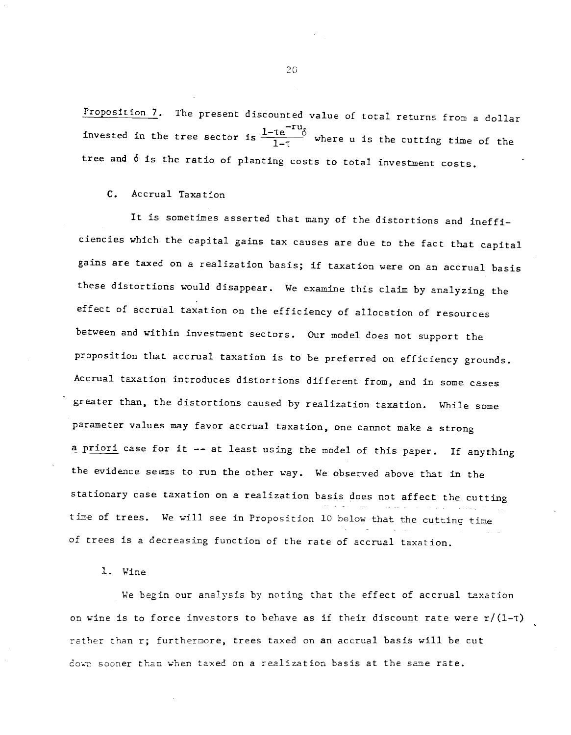Proposition 7. The present discounted value of total returns from a dollar invested in the tree sector is  $\frac{1-\tau e^{-\tau u}}{1-\tau}$  where u is the cutting time of the tree and 6 is the ratio of planting Costs to total investment costs.

C. Accrual Taxation

It is sometimes asserted that many of the distortions and inefficiencies which the capital gains tax causes are due to the fact that capital gains are taxed on a realization basis; if taxation were on an accrual basis these distortions would disappear. We examine this claim by analyzing the effect of accrual taxation on the efficiency of allocation of resources between and within investment sectors. Our model does not support the proposition that accrual taxation is to be preferred on efficiency grounds. Accrual taxation introduces distortions different from, and in some cases greater than, the distortions caused by realization taxation. While some parameter values may favor accrual taxation, one cannot make a strong a priori case for it -- at least using the model of this paper. If anything the evidence seems to run the other way. We observed above that in the stationary case taxation on a realization basis does not affect the cutting time of trees. We will see in Proposition 10 below that the cutting time of trees is a decreasing function of the rate of accrual taxation.

1. Wine

We begin our analysis by noting that the effect of accrual taxation on wine is to force investors to behave as if their discount rate were  $r/(1-\tau)$ rather than r; furthermore, trees taxed on an accrual basis will be cut down sooner than when taxed on a realization basis at the sane rate.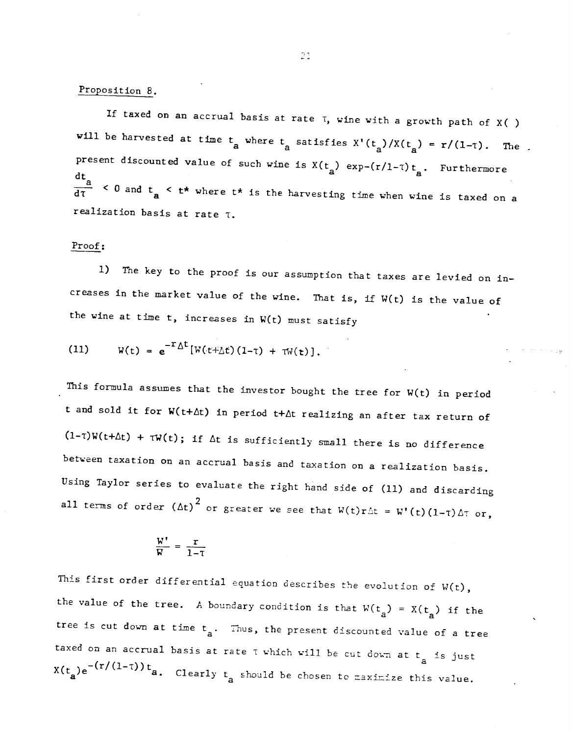# Proposition 8.

If taxed on an accrual basis at rate  $\tau$ , wine with a growth path of X( )<br>will be harvested at time  $t_a$  where  $t_a$  satisfies  $X'(t_a)/X(t_a) = r/(1-\tau)$ . The present discounted value of such wine is  $X(t_a)$  exp-(r/l-T) $t_a$ . Furthermore  $\frac{dt}{d\tau}$  < 0 and  $t_a$  <  $t^*$  where  $t^*$  is the harvesting time when wine is taxed on a realization basis at rate T.

#### Proof:

1) The key to the proof is our assumption that taxes are levied on in creases in the market value of the wine. That is, if W(t) is the value of the wine at time  $t$ , increases in  $W(t)$  must satisfy

(11) 
$$
W(t) = e^{-T\Delta t}[W(t+\Delta t)(1-\tau) + \tau W(t)].
$$

This formula assumes that the investor bought the tree for W(t) in period t and sold it for  $W(t+\Delta t)$  in period  $t+\Delta t$  realizing an after tax return of  $(1-\tau)W(t+\Delta t) + \tau W(t)$ ; if  $\Delta t$  is sufficiently small there is no difference between taxation on an accrual basis and taxation on a realization basis. Using Taylor series to evaluate the right hand side of (11) and discarding all terms of order  $(\Delta t)^2$  or greater we see that  $W(t)r\Delta t = W'(t)(1-\tau)\Delta \tau$  or,

$$
\frac{W'}{W} = \frac{r}{1-\tau}
$$

This first order differential equation describes the evolution of  $W(t)$ , the value of the tree. A boundary condition is that  $W(t_a) = X(t_a)$  if the tree is cut down at time  $t_a$ . Thus, the present discounted value of a tree taxed on an accrual basis at rate  $\tau$  which will be cut down at  $t_a$  is just  $X(t_a)e^{-(r/(1-\tau))t}a.$  Clearly  $t_a$  should be chosen to maximize this value.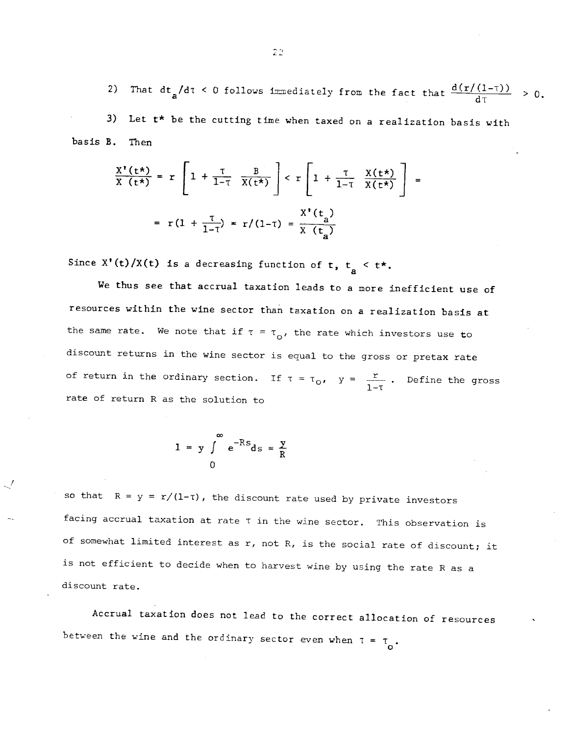2) That  $dt_a/d\tau$  < 0 follows immediately from the fact that  $\frac{d(r/(1-\tau))}{d\tau} > 0$ . 3) Let  $t*$  be the cutting time when taxed on a realization basis with

basis B. Then

$$
\frac{X'(t^*)}{X(t^*)} = r \left[ 1 + \frac{\tau}{1-\tau} \frac{B}{X(t^*)} \right] < r \left[ 1 + \frac{\tau}{1-\tau} \frac{X(t^*)}{X(t^*)} \right] =
$$

$$
= r(1 + \frac{\tau}{1-\tau}) = r/(1-\tau) = \frac{X'(t)}{X(t^*)}
$$

Since X'(t)/X(t) is a decreasing function of t,  $t_a < t^*$ .

We thus see that accrual taxation leads to a more inefficient use of resources within the wine sector than taxation on a realization basis at the same rate. We note that if  $\tau = \tau_0$ , the rate which investors use to discount returns in the wine sector is equal to the gross or pretax rate of return in the ordinary section. If  $\tau = \tau_0$ ,  $y = \frac{r}{1-\tau}$ . Define the gross rate of return R as the solution to

$$
1 = y \int_{0}^{\infty} e^{-Rs} ds = \frac{y}{R}
$$

so that  $R = y = r/(1-\tau)$ , the discount rate used by private investors facing accrual taxation at rate T in the wine sector. This observation is of somewhat limited interest as r, not R, is the social rate of discount; it is not efficient to decide when to harvest wine by using the rate R as a discount rate.

Accrual taxation does not lead to the correct allocation of resources between the wine and the ordinary sector even when  $\tau = \tau_{o}$ .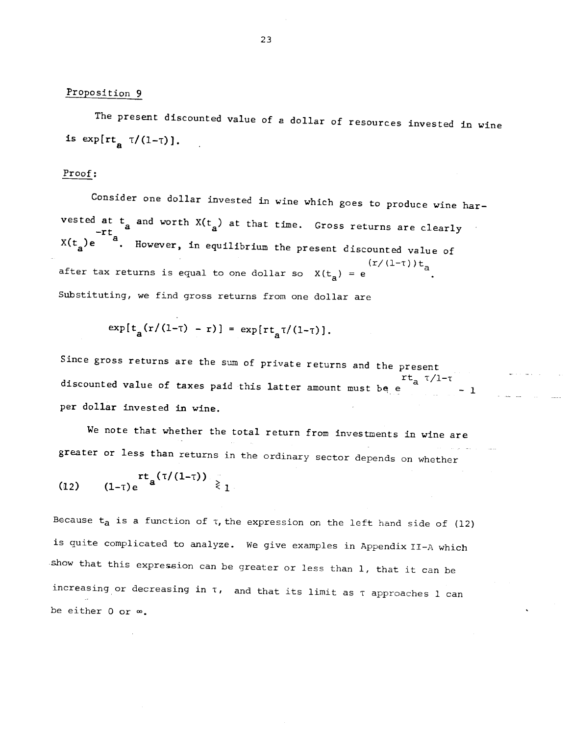# Proposition <sup>9</sup>

The present discounted value of a dollar of resources invested in wine is  $\exp[\text{rt}_p \tau/(1-\tau)].$ 

### Proof:

Consider one dollar invested in wine which goes to produce wine harvested at  $t_a$  and worth  $X(t_a)$  at that time. Gross returns are clearly  $X(t<sub>a</sub>)e^{-a}$ . However, in equilibrium the present discounted value of after tax returns is equal to one dollar so  $X(t_a) = e$  (r/(1-t))t<sub>a</sub> Substituting, we find gross returns from one dollar are

$$
exp[t_a(r/(1-\tau) - r)] = exp[rt_a\tau/(1-\tau)],
$$

Since gross returns are the sum of private returns and the present discounted value of taxes paid this latter amount must be e  $\begin{array}{c} \n r t_a \tau / 1 - \tau \\
 -1 \n \end{array}$ per dollar invested in wine.

We note that whether the total return from investments in wine are greater or less than returns in the ordinary sector depends on whether

(12) 
$$
rt_a(\tau/(1-\tau)) \ge 1
$$

Because  $t_a$  is a function of  $\tau$ , the expression on the left hand side of (12) is quite complicated to analyze. We give examples in Appendix II-A which show that this expression can be greater or less than 1, that it can be increasing or decreasing in  $\tau$ , and that its limit as  $\tau$  approaches 1 can be either  $0$  or  $\infty$ .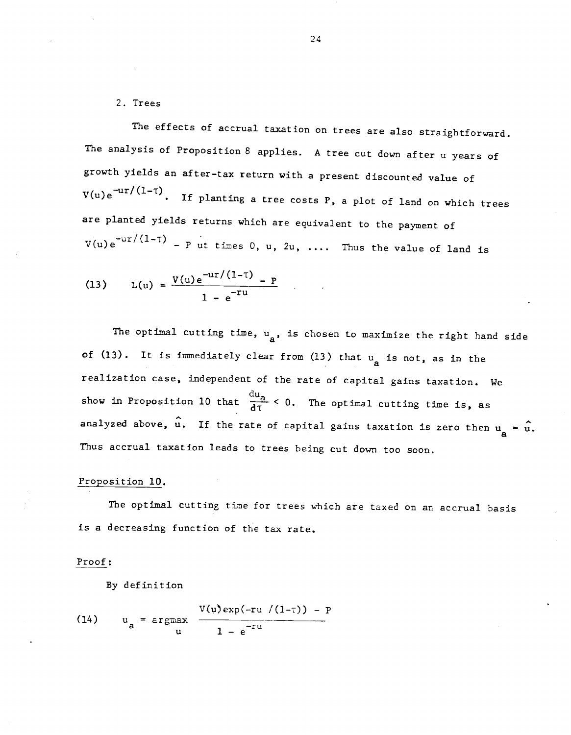2. Trees

The effects of accrual taxation on trees are also straightforward. The analysis of Proposition 8 applies. A tree cut down after u years of growth yields an after—tax return with a present discounted value of  $V(u)e^{-ur/(1-T)}$ . If planting a tree costs P, a plot of land on which trees are planted yields returns which are equivalent to the payment of  $V(u)e^{-ur/(1-\tau)} - P$  ut times 0, u, 2u, .... Thus the value of land is

(13) 
$$
L(u) = \frac{V(u)e^{-ur/(1-T)} - P}{1 - e^{-ru}}.
$$

The optimal cutting time,  $u_a$ , is chosen to maximize the right hand side of (13). It is immediately clear from (13) that  $u_a$  is not, as in the realization case, independent of the rate of capital gains taxation. We show in Proposition 10 that  $\frac{du_a}{d\tau} < 0$ . The optimal cutting time is, as analyzed above,  $\hat{u}$ . If the rate of capital gains taxation is zero then  $u_a = \hat{u}$ . Thus accrual taxation leads to trees being cut down too soon.

#### Proposition 10.

The optimal cutting time for trees which are taxed on an accrual basis is a decreasing function of the tax rate.

#### Proof:

By definition

(14) 
$$
u_a = \underset{u}{\arg\max} \frac{V(u) \exp(-ru/(1-\tau)) - P}{1 - e^{-\tau u}}
$$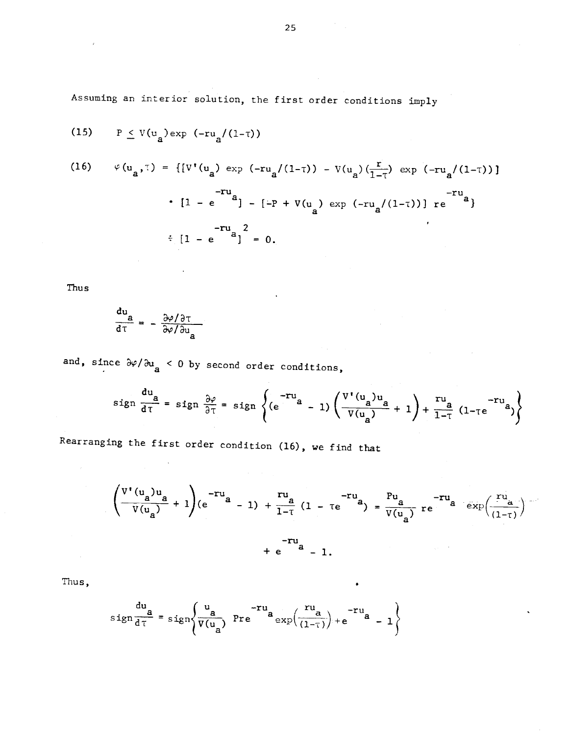Assuming an interior solution, the first order conditions imply

(15) 
$$
P \leq V(u_a) \exp(-ru_a/(1-\tau))
$$

(16) 
$$
\varphi(u_{a}, \tau) = \{ [V'(u_{a}) \exp(-ru_{a}/(1-\tau)) - V(u_{a})(\frac{\tau}{1-\tau}) \exp(-ru_{a}/(1-\tau)) ] - ru_{a} \}
$$

$$
\cdot [1 - e^{-a}] - [-P + V(u_{a}) \exp(-ru_{a}/(1-\tau))] \text{ re}^{-ru_{a} \}
$$

$$
\cdot [1 - e^{-a}]^{2} = 0.
$$

Thus

$$
\frac{du}{d\tau} = -\frac{\frac{\partial \varphi}{\partial \tau}}{\frac{\partial \varphi}{\partial u}}.
$$

and, since  $\partial \varphi / \partial u_a$  < 0 by second order conditions,

$$
\operatorname{sign} \frac{du}{d\tau} = \operatorname{sign} \frac{\partial \varphi}{\partial \tau} = \operatorname{sign} \left\{ (e^{-\tau u}a - 1) \left( \frac{V'(u_a)u_a}{V(u_a)} + 1 \right) + \frac{\tau u_a}{1 - \tau} (1 - \tau e^{-\tau u}a) \right\}
$$

Rearranging the first order condition (16), we find that

$$
\left(\frac{v'(u_a)u_a}{v(u_a)} + 1\right)(e^{-ru_a} - 1) + \frac{ru_a}{1-\tau}(1 - \tau e^{-ru_a}) = \frac{Pu_a}{v(u_a)} \tau e^{-ru_a} \exp\left(\frac{ru_a}{(1-\tau)}\right) - ru_a + e^{-u_a} - 1.
$$

Thus,

$$
sign \frac{du}{d\tau} = sign \left\{ \frac{u}{v(u_a)} \text{ Pre } ^{-ru} a \frac{vu}{exp(\frac{u_a}{(1-\tau)})} + e^{-ru} a - 1 \right\}
$$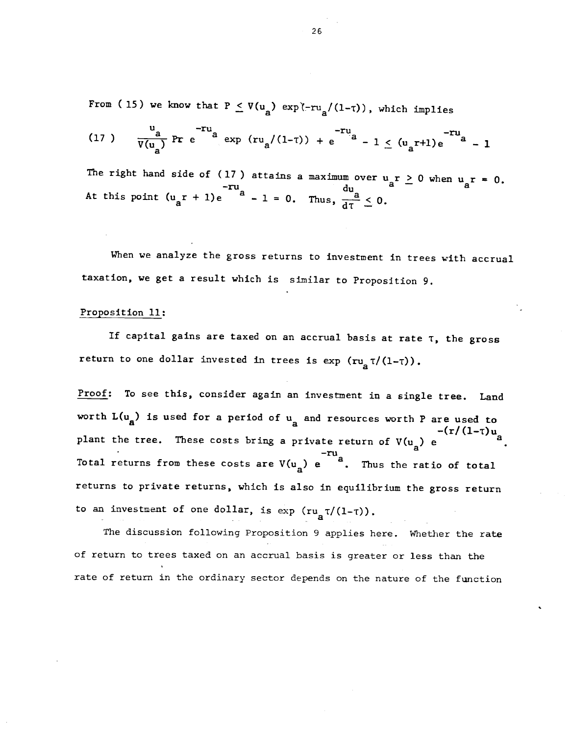From (15) we know that  $P \le V(u_a) \exp(-ru_a/(1-\tau))$ , which implies

(17) 
$$
\frac{u_a}{V(u_a)}
$$
 Pr  $e^{-ru_a}$  exp  $(ru_a/(1-\tau)) + e^{-ru_a} - 1 \le (u_a\tau+1)e^{-ru_a} - 1$ 

The right hand side of (17) attains a maximum over  $u_a r \ge 0$  when  $u_a r = 0$ .  $-ru_a$  du du  $\frac{du}{du}$ At this point  $(u_a r + 1)e^{-ru_a} - 1 = 0$ . Thus,  $\frac{du}{dT} \leq 0$ .

When we analyze the gross returns to investment in trees with accrual taxation, we get a result which is similar to Proposition 9.

#### Proposition 11:

If capital gains are taxed on an accrual basis at rate  $\tau$ , the gross return to one dollar invested in trees is  $\exp$   $(\pi u_a \tau/(1-\tau))$ .

Proof: To see this, consider again an investment in a single tree. Land worth  $L(u_a)$  is used for a period of  $u_a$  and resources worth P are used to  $-(r/(1-\tau))u_a$ plant the tree. These costs bring a private return of  $V(u_a)$  e Total returns from these costs are  $V(u_a)$  e  $u_a$ . Thus the ratio of total returns to private returns, which is also in equilibrium the gross return to an investment of one dollar, is  $\exp$   $(ru_{\rm g}T/(1-\tau))$ .

The discussion following Proposition 9 applies here. Whether the rate of return to trees taxed on an accrual basis is greater or less than the rate of return in the ordinary sector depends on the nature of the function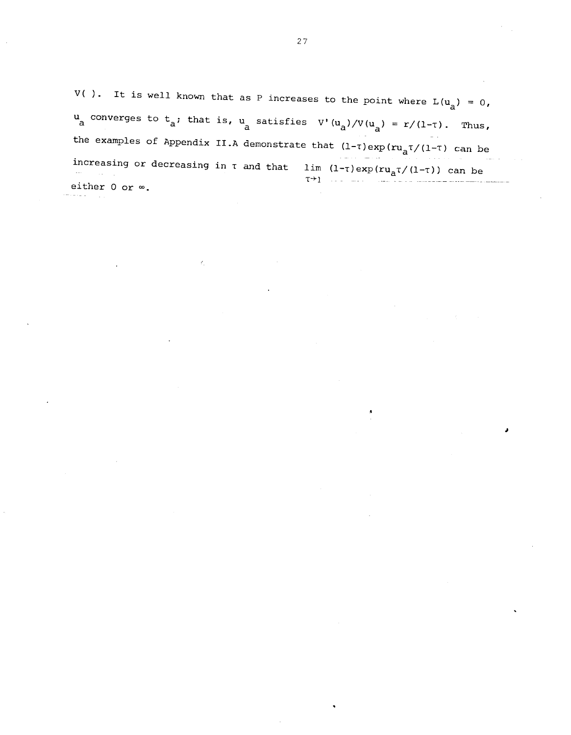V( ). It is well known that as P increases to the point where  $L(u_a) = 0$ , u converges to  $t_a$ ; that is, u satisfies  $V'(u_a)/V(u_a) = r/(1-\tau)$ . Thus, the examples of Appendix II.A demonstrate that  $(1-\tau)$ exp $(ru_a\tau/(1-\tau))$  can be increasing or decreasing in  $\tau$  and that  $\lim_{\tau \to 1} (1-\tau) \exp(r u_a \tau/(1-\tau))$  can be either 0 or  $\infty$ .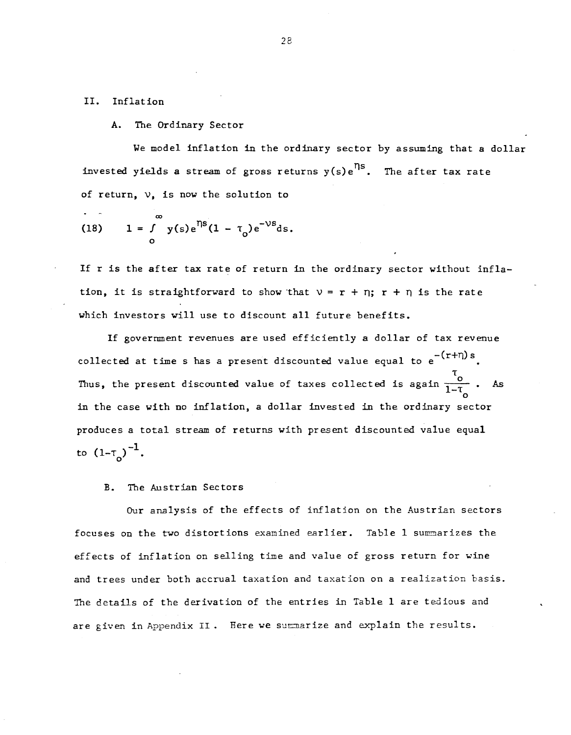#### II. Inflation

#### A. The Ordinary Sector

We model inflation in the ordinary sector by assuming that a dollar invested yields a stream of gross returns  $y(s)e^{iS}$ . The after tax rate of return,  $\nu$ , is now the solution to

(18) 
$$
1 = \int_{0}^{\infty} y(s) e^{1/s} (1 - \tau_0) e^{-\nu s} ds.
$$

If r is the after tax rate of return in the ordinary sector without inflation, it is straightforward to show that  $v = r + \eta$ ;  $r + \eta$  is the rate which investors will use to discount all future benefits.

If goverrnnent revenues are used efficiently a dollar of tax revenue collected at time s has a present discounted value equal to  $e^{-(r+n)s}$ . Thus, the present discounted value of taxes collected is again  $\frac{7}{1-7}$ . As in the case with no inflation, a dollar invested in the ordinary sector produces a total stream of returns with present discounted value equal to  $(1-\tau_0)^{-1}$ .

# B. The Austrian Sectors

Our analysis of the effects of inflation on the Austrian sectors focuses on the two distortions examined earlier. Table 1 summarizes the effects of inflation on selling time and value of gross return for wine and trees under both accrual taxation and taxation on a realization basis. The details of the derivation of the entries in Table <sup>1</sup> are tedious and are given in Appendix II. Here we summarize and explain the results.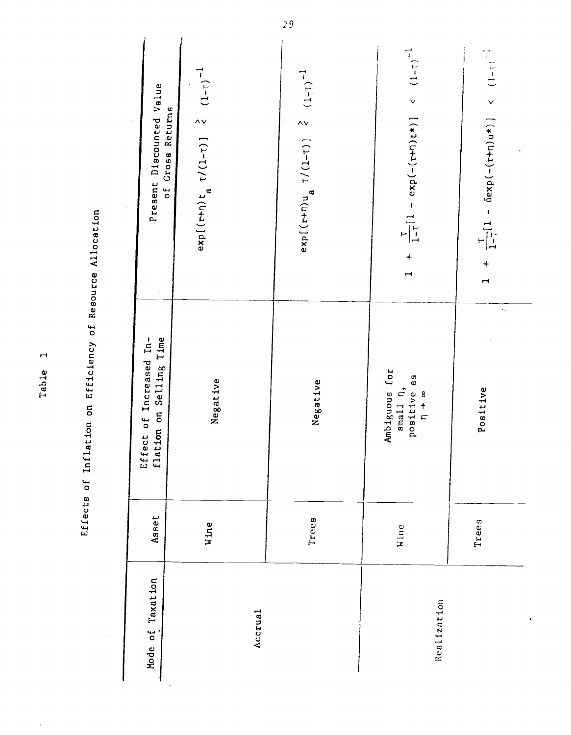| a<br>O<br>r         |
|---------------------|
| urce<br>Resou       |
| t<br>o              |
| n c v<br>ã<br>Effic |
| $\overline{5}$      |
| Inflat <sub>1</sub> |
| نا<br>0             |
| ffects<br>É<br>j    |

| Present Discounted Value<br>of Gross Returns       | $exp[(t+n)t_{a} \tau/(1-\tau)]$ $\zeta$ $(1-\tau)^{-1}$ | $exp[(t+n)u_{a} \tau/(1-\tau)]$ $(1-\tau)^{-1}$ | 1 + $\frac{1}{1-t}$ (1 - exp(-(r+n)t*)] < (1-t) <sup>-1</sup> | + $\frac{1}{1-t}[1 - \delta \exp(-\frac{t}{t+0})u^*)] < (1-t)^{-1}$<br>$\rightarrow$ |
|----------------------------------------------------|---------------------------------------------------------|-------------------------------------------------|---------------------------------------------------------------|--------------------------------------------------------------------------------------|
| Effect of Increased In-<br>flation on Selling Time | Negative                                                | Negative                                        | Ambiguous for<br>small n,<br>positive as<br>$rac{8}{1}$       | ò,<br>Positive                                                                       |
| Asset                                              | Wine                                                    | Trees                                           | Wine                                                          | Trees                                                                                |
| Mode of Taxation                                   | Accrual                                                 |                                                 | Realization                                                   |                                                                                      |

Table 1

 $\frac{29}{2}$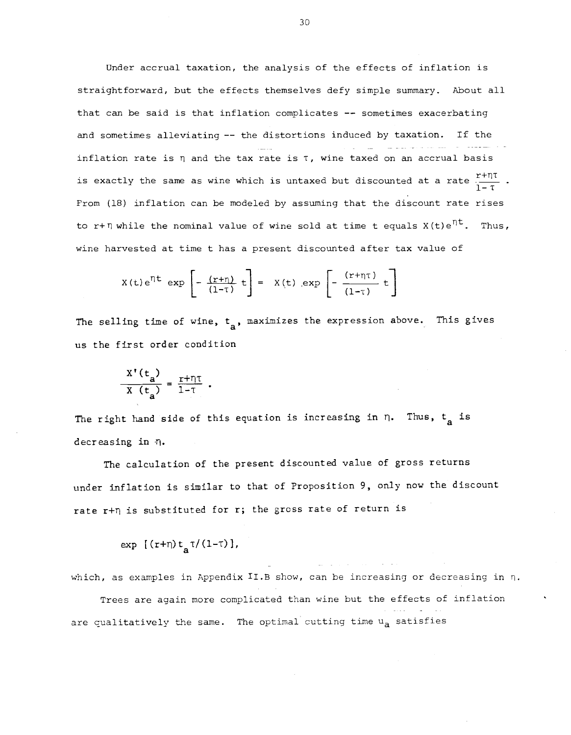Under accrual taxation, the analysis of the effects of inflation is straightforward, but the effects themselves defy simple summary. About all that can be said is that inflation complicates  $-$  sometimes exacerbating and sometimes alleviating -- the distortions induced by taxation. If the inflation rate is  $\eta$  and the tax rate is  $\tau$ , wine taxed on an accrual basis is exactly the same as wine which is untaxed but discounted at a rate  $\frac{1+i\tau}{1-\tau}$  . From (18) inflation can be modeled by assuming that the discount rate rises to r+n while the nominal value of wine sold at time t equals  $X(t)e^{\eta t}$ . Thus, wine harvested at time t has a present discounted after tax value of

$$
X(t)e^{\eta t} \exp\left[-\frac{(r+\eta)}{(1-\tau)}t\right] = X(t) \exp\left[-\frac{(r+\eta\tau)}{(1-\tau)}t\right]
$$

The selling time of wine,  $t_a$ , maximizes the expression above. This gives us the first order condition

$$
\frac{X'(t_a)}{X(t_a)} = \frac{r + \eta \tau}{1 - \tau}.
$$

The right hand side of this equation is increasing in  $\eta$ . Thus,  $t_a$  is decreasing in  $\eta$ .

The calculation of the present discounted value of gross returns under inflation is similar to that of Proposition 9, only now the discount rate r+n is substituted for r; the gross rate of return is

 $exp \left[ (r+\eta) t_a \tau/(1-\tau) \right],$ 

which, as examples in Appendix II.B show, can be increasing or decreasing in  $\eta$ .

Trees are again more complicated than wine but the effects of inflation are cualitatively the same. The optimal cutting time u<sub>a</sub> satisfies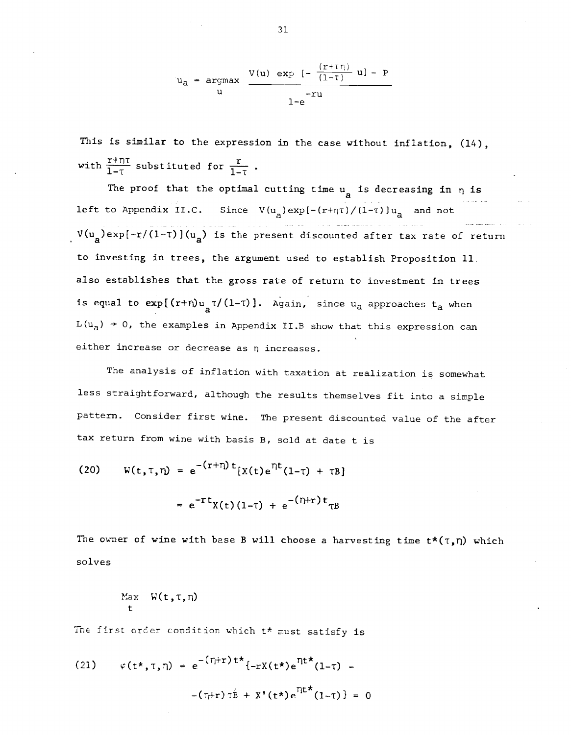$$
u_a = \underset{u}{\operatorname{argmax}} \quad \frac{V(u) \exp \left[-\frac{(r+\tau \eta)}{(1-\tau)} u\right] - P}{1-e}
$$

This is similar to the expression in the case without inflation, (14), with  $\frac{r+n\tau}{1-\tau}$  substituted for  $\frac{r}{1-\tau}$ .

The proof that the optimal cutting time  $u_a$  is decreasing in  $\eta$  is left to Appendix II.C. Since  $V(u_a)exp[-(r+\eta\tau)/(1-\tau)]u_a$  and not  $V(u_a)$ exp{-r/(1-T)](u<sub>a</sub>) is the present discounted after tax rate of return to investing in trees, the argument used to establish Proposition 11. also establishes that the gross rate of return to investment in trees is equal to  $exp[(r+n)u_{nT}/(1-\tau)]$ . Again, since  $u_{n}$  approaches  $t_{n}$  when  $L(u_a) \rightarrow 0$ , the examples in Appendix II.B show that this expression can either increase or decrease as n increases.

The analysis of inflation with taxation at realization is somewhat less straightforward, although the results themselves fit into a simple pattern. Consider first wine. The present discounted value of the after tax return from wine with basis B, sold at date t is

(20) 
$$
W(t, \tau, \eta) = e^{-(\tau + \eta)t} [X(t)e^{\eta t}(1-\tau) + \tau B]
$$
  
 $= e^{-\tau t} X(t)(1-\tau) + e^{-(\eta + \tau)t} \tau B$ 

The owner of wine with base B will choose a harvesting time  $t^*(\tau,\eta)$  which solves

$$
\begin{array}{ll}\n\text{Max} & W(t, \tau, \eta) \\
t\n\end{array}
$$

The first order condition which  $t^*$  must satisfy is

(21) 
$$
\varphi(t^*, \tau, \eta) = e^{-\left(\tau_i + \tau\right)t^*} \{-rX(t^*)e^{\eta t^*}(1-\tau) - \left(\tau_i + \tau\right)\tau\hat{B} + X'(t^*)e^{\eta t^*}(1-\tau)\} = 0
$$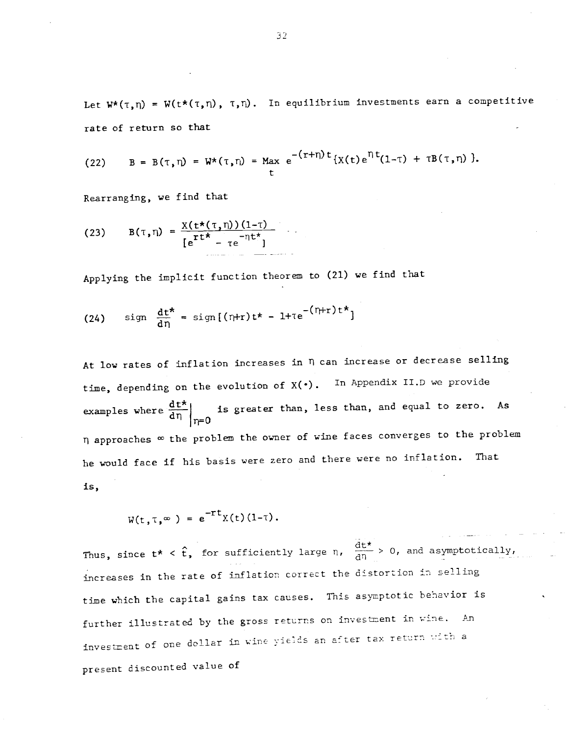Let  $W^{\star}(\tau,\eta) = W(t^{\star}(\tau,\eta), \tau,\eta)$ . In equilibrium investments earn a competitive rate of return so that

(22) 
$$
B = B(\tau, \eta) = W^*(\tau, \eta) = \max_{t} e^{-(r+\eta)t} \{ \chi(t) e^{\eta t} (1-\tau) + \tau B(\tau, \eta) \}.
$$

Rearranging, we find that

(23) 
$$
B(\tau, \eta) = \frac{X(t \star (\tau, \eta))(1-\tau)}{[e^{rt \star} - \tau e^{-\eta t \star}]}
$$

Applying the implicit function theorem to (21) we find that

(24) sign 
$$
\frac{dt^*}{d\eta} = \text{sign}[(\eta+r)t^* - 1 + \tau e^{-(\eta+r)t^*}]
$$

At low rates of inflation increases in fl can increase or decrease selling time, depending on the evolution of  $X(\cdot)$ . In Appendix II.D we provide examples where  $\frac{dt^*}{dt^n}$  is greater than, less than, and equal to zero. As rj=O  $\eta$  approaches  $\infty$  the problem the owner of wine faces converges to the problem he would face if his basis were zero and there were no inflation. That is,

$$
W(t, \tau, \infty) = e^{-rt}X(t)(1-\tau).
$$

 $\sim$   $\sigma$   $\sim$   $\sigma$   $\sim$   $\sigma$   $\sim$ Thus, since  $t^* < \hat{t}$ , for sufficiently large n,  $\frac{d(t)}{d\eta} > 0$ , and asymptotically, increases in the rate of inflation correct the distortion in selling time which the capital gains tax causes. Tnis asymptotic behavior is further illustrated by the gross returns on investment in wine. An investment of one dollar in wine yields an after tax return with a present discounted value of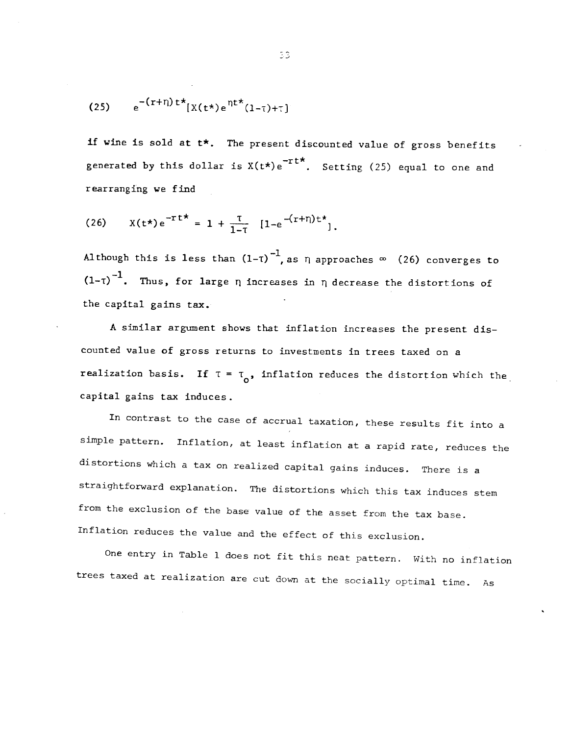$$
(25) \qquad e^{-(r+\eta)t^*}[X(t^*)e^{\eta t^*}(1-\tau)+\tau]
$$

if wine is sold at  $t$ \*. The present discounted value of gross benefits generated by this dollar is  $X(t*)e^{-rt}$ . Setting (25) equal to one and rearranging we find

(26) 
$$
X(t^*)e^{-rt^*} = 1 + \frac{\tau}{1-\tau} [1-e^{-(r+\eta)t^*}],
$$

Although this is less than  $(1-\tau)^{-1}$ , as  $\eta$  approaches  $\infty$  (26) converges to  $(1-\tau)^{-1}$ . Thus, for large  $\eta$  increases in  $\eta$  decrease the distortions of the capital gains tax.

A similar argument shows that inflation increases the present discounted value of gross returns to investments in trees taxed on a realization basis. If  $\tau = \tau_{0}$ , inflation reduces the distortion which the capital gains tax induces.

In contrast to the case of accrual taxation, these results fit into a simple pattern. Inflation, at least inflation at a rapid rate, reduces the distortions which a tax on realized capital gains induces. There is a straightforward explanation. The distortions which this tax induces stem from the exclusion of the base value of the asset from the tax base. Inflation reduces the value and the effect of this exclusion.

One entry in Table 1 does not fit this neat pattern. With no inflation trees taxed at realization are cut down at the socially optimal time. As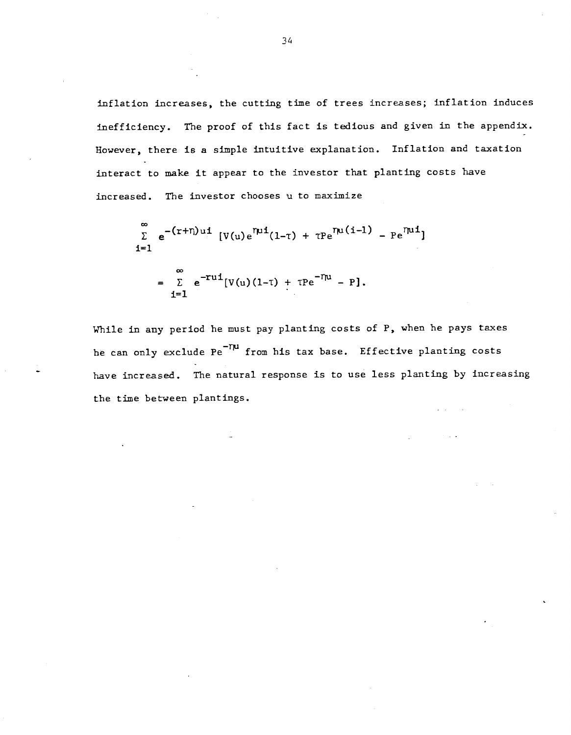inflation increases, the cutting time of trees increases; inflation induces inefficiency. The proof of this fact is tedious and given in the appendix. However, there is a simple intuitive explanation. Inflation and taxation interact to make it appear to the investor that planting costs have increased. The investor chooses u to maximize

$$
\sum_{i=1}^{\infty} e^{-(r+n)ut} [V(u)e^{\eta u i}(1-\tau) + \tau P e^{\eta u (i-1)} - P e^{\eta u i}]
$$
  
= 
$$
\sum_{i=1}^{\infty} e^{-rui} [V(u)(1-\tau) + \tau P e^{-\eta u} - P].
$$

While in any period he must pay planting costs of P, when he pays taxes he can only exclude  $Pe^{-T\mu}$  from his tax base. Effective planting costs have increased. The natural response is to use less planting by increasing the time between plantings.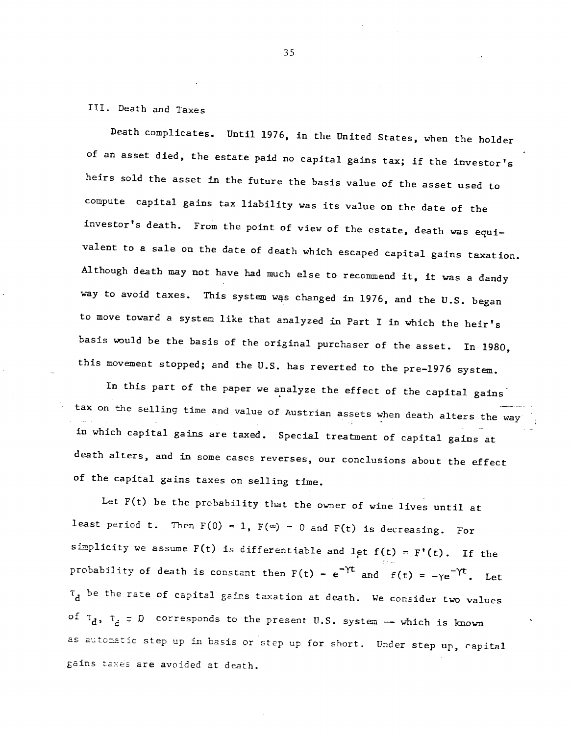# III. Death and Taxes

Death complicates. Until 1976, in the United States, when the holder of an asset died, the estate paid no capital gains tax; if the investor's heirs sold the asset in the future the basis value of the asset used to compute capital gains tax liability was its value on the date of the investor's death. From the point of view of the estate, death was equivalent to a sale on the date of death which escaped capital gains taxation. Although death may not have had much else to recommend it, it was a dandy way to avoid taxes. This system was changed in 1976, and the U.S. began to move toward a system like that analyzed in Part I in which the heir's basis would be the basis of the original purchaser of the asset. In 1980, this movement stopped; and the U.S. has reverted to the pre—1976 system.

In this part of the paper we analyze the effect of the capital gains tax on the selling time and value of Austrian assets when death alters the way in which capital gains are taxed. Special treatment of capital gains at death alters, and in some cases reverses, our conclusions about the effect of the capital gains taxes on selling time.

Let F(t) be the probability that the owner of wine lives until at least period t. Then  $F(0) = 1$ ,  $F(\infty) = 0$  and  $F(t)$  is decreasing. For simplicity we assume  $F(t)$  is differentiable and let  $f(t) = F'(t)$ . If the probability of death is constant then  $F(t) = e^{-\gamma t}$  and  $f(t) = -\gamma e^{-\gamma t}$ . Let  $\tau_d$  be the rate of capital gains taxation at death. We consider two values of  $\tau_d$ ,  $\tau_d = 0$  corresponds to the present U.S. system - which is known as automatic step up in basis or step up for short. Under step up, capital gains taxes are avoided at death.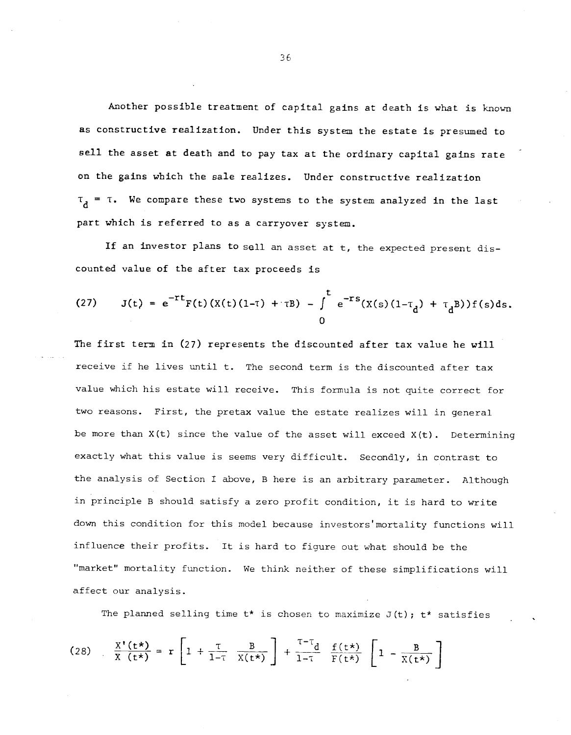Another possible treatment of capital gains at death is what is known as constructive realization. Under this system the estate is presumed to sell the asset at death and to pay tax at the ordinary capital gains rate on the gains which the sale realizes. Under constructive realization  $\tau_A$  =  $\tau$ . We compare these two systems to the system analyzed in the last part which is referred to as a carryover system.

If an investor plans to sell an asset at t, the expected present discounted value of the after tax proceeds is

(27) 
$$
J(t) = e^{-rt}F(t)(X(t)(1-\tau) + \tau B) - \int_0^t e^{-rs}(X(s)(1-\tau_d) + \tau_d B))f(s)ds.
$$

The first term in (27) represents the discounted after tax value he will receive if he lives until t. The second term is the discounted after tax value which his estate will receive. This formula is not quite correct for two reasons. First, the pretax value the estate realizes will in general be more than  $X(t)$  since the value of the asset will exceed  $X(t)$ . Determining exactly what this value is seems very difficult. Secondly, in contrast to the analysis of Section I above, B here is an arbitrary parameter. Although in principle B should satisfy a zero profit condition, it is hard to write down this condition for this model because investors'mortality functions will influence their profits. It is hard to figure out what should be the "market" mortality function. We think neither of these simplifications will affect our analysis.

The planned selling time  $t*$  is chosen to maximize  $J(t)$ ;  $t*$  satisfies

(28) 
$$
\frac{X'(t^*)}{X(t^*)} = r \left[ 1 + \frac{\tau}{1-\tau} \frac{B}{X(t^*)} \right] + \frac{\tau - \tau}{1-\tau} \frac{f(t^*)}{F(t^*)} \left[ 1 - \frac{B}{X(t^*)} \right]
$$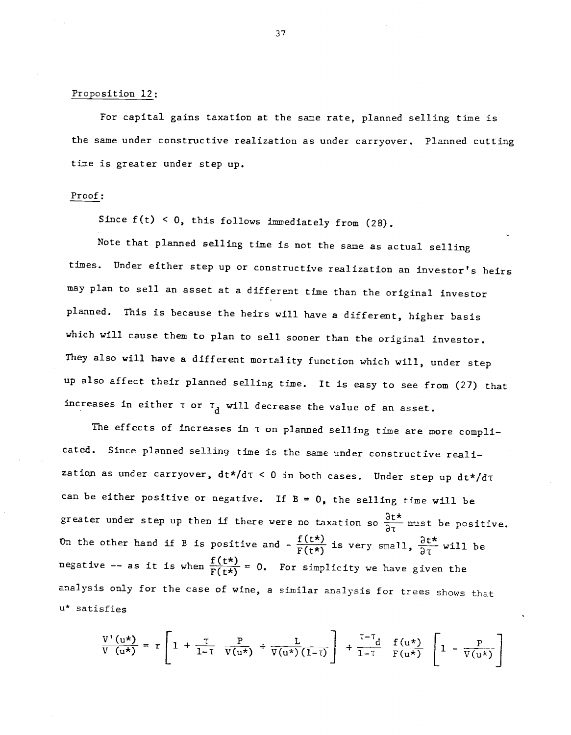# Proposition 12:

For capital gains taxation at the same rate, planned selling time is the same under constructive realization as under carryover. Planned cutting time is greater under step up.

#### Proof:

Since  $f(t) < 0$ , this follows immediately from (28).

Note that planned selling time is not the same as actual selling times. Under either step up or constructive realization an investor's heirs may plan to sell an asset at a different time than the original investor planned. This is because the heirs will have a different, higher basis which will cause them to plan to sell sooner than the original investor. They also will have a different mortality function which will, under step up also affect their planned selling time. It is easy to see from (27) that increases in either  $\tau$  or  $\tau_{d}$  will decrease the value of an asset.

The effects of increases in T on planned selling time are more complicated. Since planned selling time is the same under constructive reali zation as under carryover,  $dt*/d\tau < 0$  in both cases. Under step up  $dt*/d\tau$ can be either positive or negative. If  $B = 0$ , the selling time will be greater under step up then if there were no taxation so  $\frac{\partial t^*}{\partial \tau}$  must be positive. On the other hand if B is positive and  $-\frac{f(t*)}{F(t*)}$  is very small,  $\frac{\partial t^*}{\partial \tau}$  will be negative -- as it is when  $\frac{f(t*)}{F(t*)} = 0$ . For simplicity we have given the analysis only for the case of wine, a similar analysis for trees shows that u\* satisfies

$$
\frac{\nabla^{\dagger}(u\star)}{\nabla(u\star)} = r \left[ 1 + \frac{\tau}{1-\tau} \frac{P}{V(u\star)} + \frac{L}{V(u\star)(1-\tau)} \right] + \frac{\tau-\tau}{1-\tau} \frac{f(u\star)}{F(u\star)} \left[ 1 - \frac{P}{V(u\star)} \right]
$$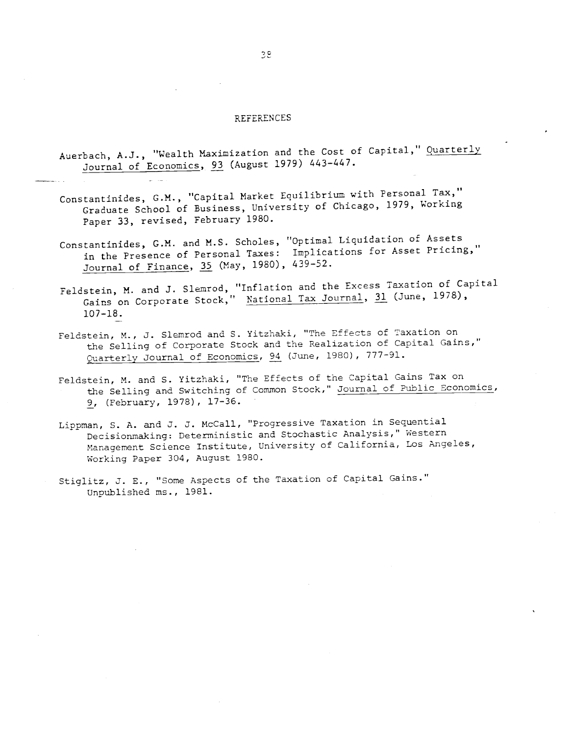#### REFERENCES

- Auerbach, A.J., "Wealth Maximization and the Cost of Capital," Quarterly Journal of Economics, 93 (August 1979) 443—447.
- Constantinides, G.M., "Capital Market Equilibrium with Personal Tax," Graduate School of Business, University of Chicago, 1979, Working Paper 33, revised, February 1980.
- ConstantinideS, G.M. and M.S. Scholes, "Optimal Liquidation of Assets in the Presence of Personal Taxes: Implications for Asset Pricing," Journal of Finance, 35 (May, 1980), 439—52.
- Feldstein, M. and J. Slemrod, "Inflation and the Excess Taxation of Capital Gains on Corporate Stock," National Tax Journal, 31 (June, 1978), 107—18.
- Feldstein, M., J. Slemrod and S. Yitzhaki, "The Effects of Taxation on the Selling of Corporate Stock and the Realization of Capital Gains," Quarterly Journal of Economics, 94 (June, 1980), 777-91.
- Feldstein, M. and S. Yitzhaki, "The Effects of the Capital Gains Tax on the Selling and Switching of Common Stock," Journal of Public Economics, 9, (February, 1978), 17—36.
- Lippman, S. A. and J. J. McCall, "Progressive Taxation in Sequential Decisionmaking: Deterministic and Stochastic Analysis," Western Management Science Institute, University of California, Los Angeles, Working Paper 304, August 1980.
- Stiglitz, J. E., "Some Aspects of the Taxation of Capital Gains." Unpublished ms., 1981.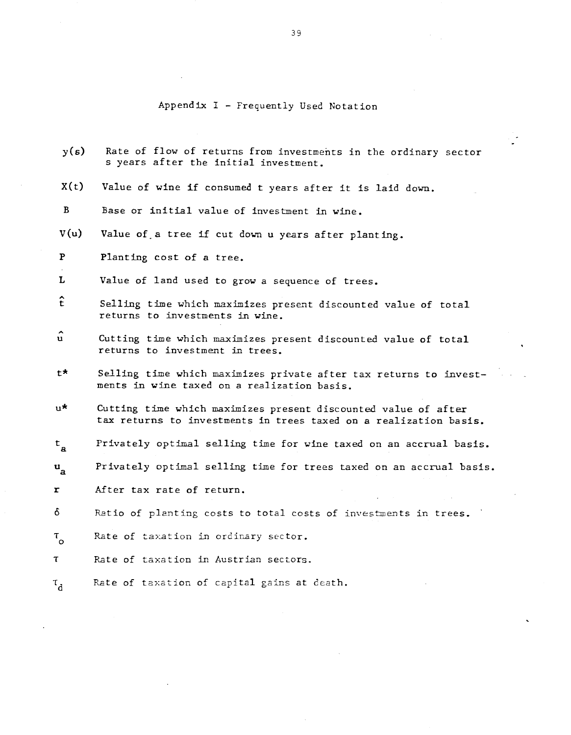# Appendix I — Frequently Used Notation

| y(s)                          | Rate of flow of returns from investments in the ordinary sector<br>s years after the initial investment.                            |
|-------------------------------|-------------------------------------------------------------------------------------------------------------------------------------|
| X(t)                          | Value of wine if consumed t years after it is laid down.                                                                            |
| B                             | Base or initial value of investment in wine.                                                                                        |
| V(u)                          | Value of a tree if cut down u years after planting.                                                                                 |
| $\mathbf{P}$                  | Planting cost of a tree.                                                                                                            |
| L                             | Value of land used to grow a sequence of trees.                                                                                     |
| t                             | Selling time which maximizes present discounted value of total<br>returns to investments in wine.                                   |
| $\mathbf{u}$                  | Cutting time which maximizes present discounted value of total<br>returns to investment in trees.                                   |
| t*.                           | Selling time which maximizes private after tax returns to invest-<br>ments in wine taxed on a realization basis.                    |
| ս*ւ                           | Cutting time which maximizes present discounted value of after<br>tax returns to investments in trees taxed on a realization basis. |
| $\mathbf{t}_{_{\mathbf{a}}}$  | Privately optimal selling time for wine taxed on an accrual basis.                                                                  |
| $\mathbf{u}_{\mathbf{a}}$     | Privately optimal selling time for trees taxed on an accrual basis.                                                                 |
| r                             | After tax rate of return.                                                                                                           |
| δ                             | Ratio of planting costs to total costs of investments in trees.                                                                     |
| $\tau_{\rm o}$                | Rate of taxation in ordinary sector.                                                                                                |
| $\tau$                        | Rate of taxation in Austrian sectors.                                                                                               |
| $\mathfrak{r}_{\mathfrak{d}}$ | Rate of taxation of capital gains at death.                                                                                         |
|                               |                                                                                                                                     |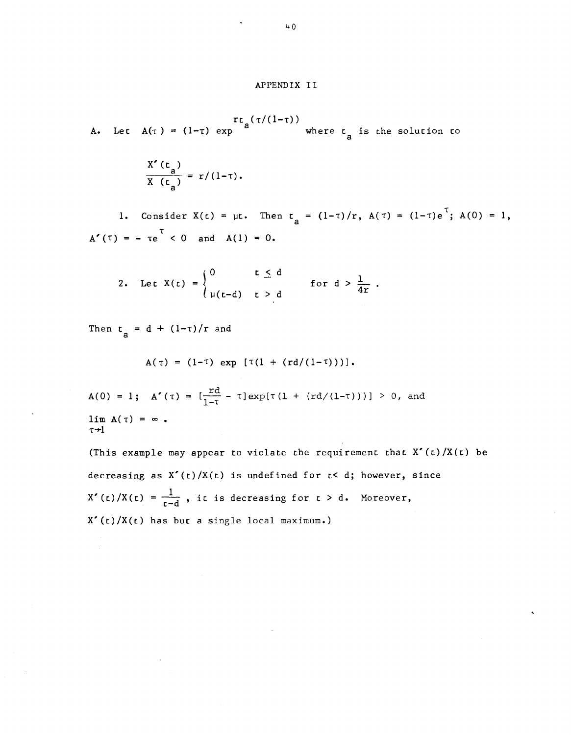#### APPENDIX II

 $r_{\text{c}}(\tau/(1-\tau))$ <br>A. Let  $A(\tau) = (1-\tau) \exp \left(\frac{\tau}{a}\right)$  where  $t_a$  is the solution to

$$
\frac{X'(t_a)}{X(t_a)} = r/(1-\tau).
$$

1. Consider  $X(t) = \mu t$ . Then  $t_a = (1-\tau)/r$ ,  $A(\tau) = (1-\tau)e^{\tau}$ ;  $A(0) = 1$ ,  $A'(\tau) = -\tau e^{\tau} < 0$  and  $A(1) = 0$ .

2. Let 
$$
X(t) = \begin{cases} 0 & t \le d \\ \mu(t-d) & t > d \end{cases}
$$
 for  $d > \frac{1}{4r}$ .

Then  $t_a = d + (1-\tau)/r$  and

$$
A(\tau) = (1-\tau) \exp [\tau(1 + (rd/(1-\tau)))].
$$

$$
A(0) = 1; A'(\tau) = [\frac{rd}{1-\tau} - \tau] \exp[\tau(1 + (rd/(1-\tau)))] > 0, \text{ and}
$$
  
lim  $A(\tau) = \infty$ .  
 $\tau \rightarrow 1$ 

(This example may appear to violate the requirement that  $X'(t)/X(t)$  be decreasing as  $X'(t)/X(t)$  is undefined for  $t < d$ ; however, since  $X'(t)/X(t) = \frac{1}{t-d}$ , it is decreasing for  $t > d$ . Moreover, X'(t)/X(t) has but a single local maximum.)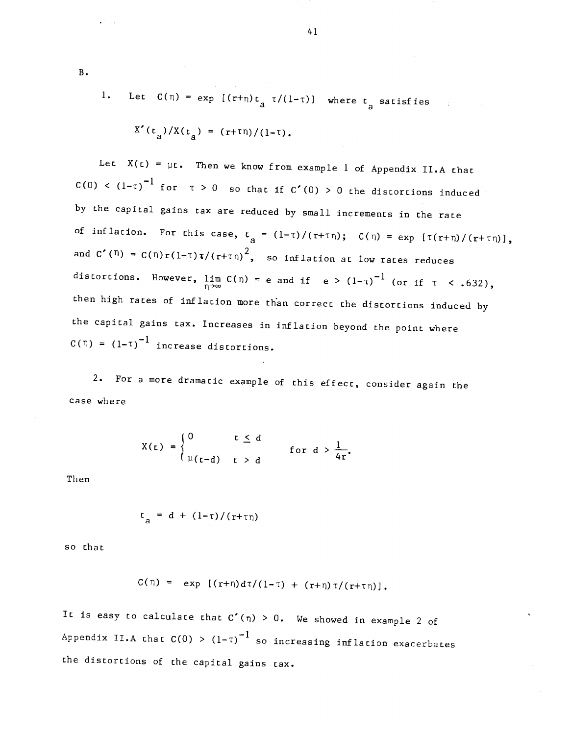1. Let 
$$
C(\eta) = \exp[(r+\eta)t_{a} \tau/(1-\tau)]
$$
 where  $t_{a}$  satisfies

$$
X'(t_a)/X(t_a) = (r+\tau \eta)/(1-\tau).
$$

Let  $X(t) = \mu t$ . Then we know from example 1 of Appendix II.A that C(0) <  $(1-\tau)^{-1}$  for  $\tau > 0$  so that if C'(0) > 0 the distortions induced by the capital gains tax are reduced by small increments in the race of inflation. For this case,  $t_a = (1-\tau)/(r+\tau\eta)$ ;  $C(\eta) = \exp [\tau(r+\eta)/(r+\tau\eta)]$ , and  $C'(\eta) = C(\eta)r(1-\tau)\tau/(r+\tau\eta)^2$ , so inflation at low rates reduces distortions. However,  $\lim_{n\to\infty} C(n) = e$  and if  $e > (1-\tau)^{-1}$  (or if  $\tau < .632$ ), then high rates of inflation more than correct the distortions induced by the capital gains tax. Increases in inflation beyond the point where  $C(\eta) = (1-\tau)^{-1}$  increase distortions.

2. For a more dramatic example of this effect, consider again the case where

$$
X(t) = \begin{cases} 0 & t \leq d \\ \mu(t-d) & t > d \end{cases} \quad \text{for } d > \frac{1}{4r}.
$$

**Then** 

$$
t_a = d + (1-\tau)/(r+\tau\eta)
$$

so that

$$
C(\eta) = \exp \left[ (r+\eta) d\tau/(1-\tau) + (r+\eta) \tau/(r+\tau \eta) \right],
$$

It is easy to calculate that  $C'(\eta) > 0$ . We showed in example 2 of Appendix II.A that  $C(0) > (1-\tau)^{-1}$  so increasing inflation exacerbates the distortions of the capital gains tax.

B.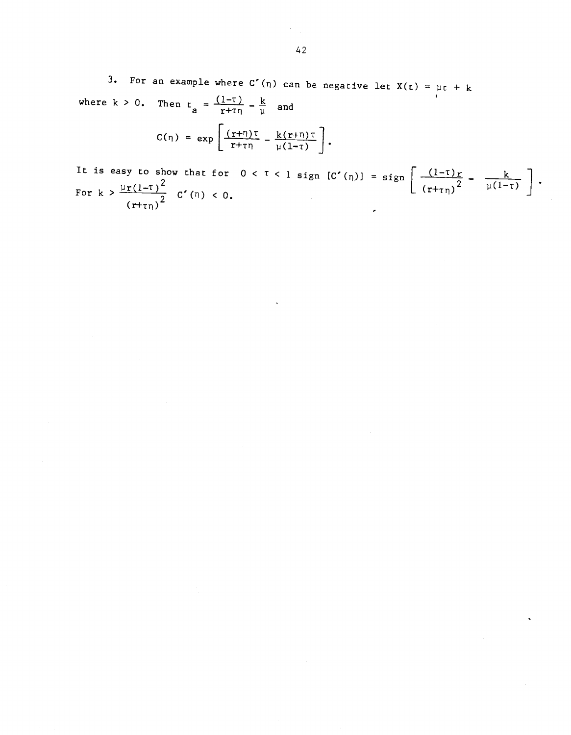3. For an example where  $C'(n)$  can be negative let  $X(t) = \mu t + k$ where  $k > 0$ . Then  $t_a = \frac{(1-\tau)}{r+\tau\eta} - \frac{k}{\mu}$  and

$$
C(\eta) = \exp \left[\frac{(r+\eta)\tau}{r+\tau\eta} - \frac{k(r+\eta)\tau}{\mu(1-\tau)}\right].
$$

It is easy to show that for  $0 < \tau < 1$  sign  $[C'(n)] = \text{sign} \left[ \frac{(1-\tau)r}{2} - \frac{k}{\sqrt{1-\tau}} \right]$ . For  $k > \frac{\mu r (1-\tau)^2}{r^2}$   $C'(n) < 0$ .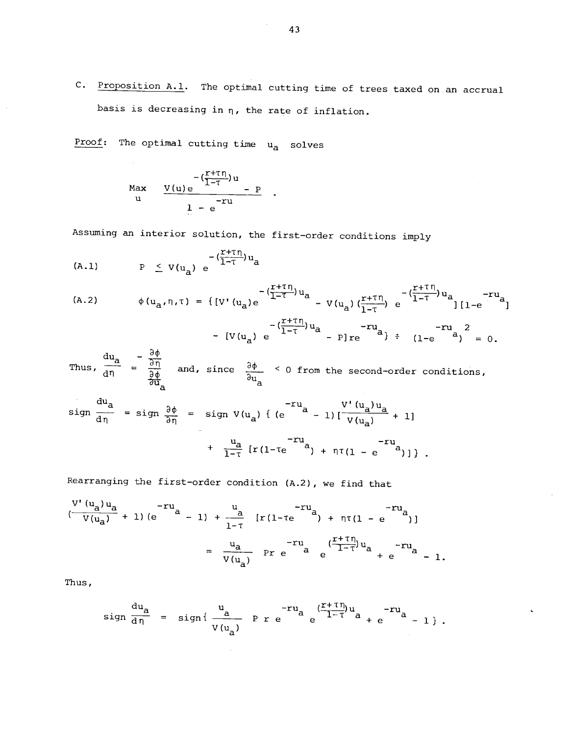C. Proposition A.1. The optimal cutting time of trees taxed on an accrual basis is decreasing in  $\eta$ , the rate of inflation.

Proof: The optimal cutting time  $u_a$  solves

$$
\begin{array}{ccc}\n & -\frac{r+r\eta}{1-r}u \\
 & u & \frac{V(u)e}{1-e} - P \\
 & & \frac{1}{1-e}u\n\end{array}
$$

Assuming an interior solution, the first—order conditions imply

$$
(A.1) \tP \tV(u_a) e^{-\left(\frac{r+r_1}{1-r}\right)u_a}
$$

(A.2)

\n
$$
\phi(u_{a}, \eta, \tau) = \{ [V'(u_{a})e^{-\frac{(T+ \tau \eta)}{1-\tau}u_{a}} - V(u_{a}) (\frac{r+\tau \eta}{1-\tau}) e^{-\frac{(T+ \tau \eta)}{1-\tau}u_{a}} ] [1-e^{-\tau u}]
$$
\n
$$
- (\frac{r+\tau \eta}{1-\tau})u_{a} - r u_{a}, \qquad -r u_{a} \qquad -r u_{a} \qquad -r u_{a} \qquad -r u_{a} \qquad -r u_{a} \qquad -r u_{a} \qquad -r u_{a} \qquad -r u_{a} \qquad -r u_{a} \qquad -r u_{a} \qquad -r u_{a} \qquad -r u_{a} \qquad -r u_{a} \qquad -r u_{a} \qquad -r u_{a} \qquad -r u_{a} \qquad -r u_{a} \qquad -r u_{a} \qquad -r u_{a} \qquad -r u_{a} \qquad -r u_{a} \qquad -r u_{a} \qquad -r u_{a} \qquad -r u_{a} \qquad -r u_{a} \qquad -r u_{a} \qquad -r u_{a} \qquad -r u_{a} \qquad -r u_{a} \qquad -r u_{a} \qquad -r u_{a} \qquad -r u_{a} \qquad -r u_{a} \qquad -r u_{a} \qquad -r u_{a} \qquad -r u_{a} \qquad -r u_{a} \qquad -r u_{a} \qquad -r u_{a} \qquad -r u_{a} \qquad -r u_{a} \qquad -r u_{a} \qquad -r u_{a} \qquad -r u_{a} \qquad -r u_{a} \qquad -r u_{a} \qquad -r u_{a} \qquad -r u_{a} \qquad -r u_{a} \qquad -r u_{a} \qquad -r u_{a} \qquad -r u_{a} \qquad -r u_{a} \qquad -r u_{a} \qquad -r u_{a} \qquad -r u_{a} \qquad -r u_{a} \qquad -r u_{a} \qquad -r u_{a} \qquad -r u_{a} \qquad -r u_{a} \qquad -r u_{a} \qquad -r u_{a} \qquad -r u_{a} \qquad -r u_{a} \qquad -r u_{a} \qquad -r u_{a} \qquad -r u_{a} \qquad -r u_{a} \qquad -
$$

- 
$$
[V(u_a) e^{-\frac{1}{1-T}u_a} - P]re^{-\frac{1}{2}u_a}
$$
 +  $(1-e^{-\frac{1}{2}u})^2 = 0$ .

$$
- [V(u_{a}) e^{-iT \cdot \frac{a_{a}}{a}} - P]re^{-i\frac{a_{a}}{a}} \} \div (1 - e^{-i\frac{a_{a}}{a}}) = 0.
$$
\nThus,  $\frac{du_{a}}{d\eta} = \frac{\frac{\partial \phi}{\partial \eta}}{\frac{\partial \phi}{\partial u_{a}}}$  and, since  $\frac{\partial \phi}{\partial u_{a}} < 0$  from the second-order conditions,

$$
\begin{array}{rcl}\n\frac{du_{a}}{d\eta} & = \text{sign} \frac{\partial \phi}{\partial \eta} & = \text{sign} \ V(u_{a}) \ \{ \ (e \qquad \qquad -1) \ [\frac{V'(u_{a})u_{a}}{V(u_{a})} + 1] \\
& & \ + \frac{u_{a}}{1-\tau} \ [r(1-\tau e \qquad \qquad^{2} + \eta \tau(1-e \qquad \qquad^{2})] \ ] \ \}.\n\end{array}
$$

Rearranging the first—order condition (A.2), we find that

$$
\frac{v'(u_a)u_a}{v(u_a)} + 1 (e^{u_a} - 1) + \frac{u}{1-\tau} [r(1-\tau e^{-u_a}) + \eta \tau (1 - e^{-u_a})]
$$
  
=  $\frac{u_a}{v(u_a)}$  Pr e<sup>-ru\_a</sup> e $\frac{r+\tau \eta}{1-\tau} u_a + e^{-ru_a} - 1$ .

Thus,

$$
\sin \frac{du_{a}}{d\eta} = \sin \{\frac{u_{a}}{v(u_{a})} \text{ } p \text{ } r \text{ } e^{-ru_{a}} e^{\frac{(r+r_{0})}{1-r}u_{a}} + e^{-ru_{a}} - 1 \}.
$$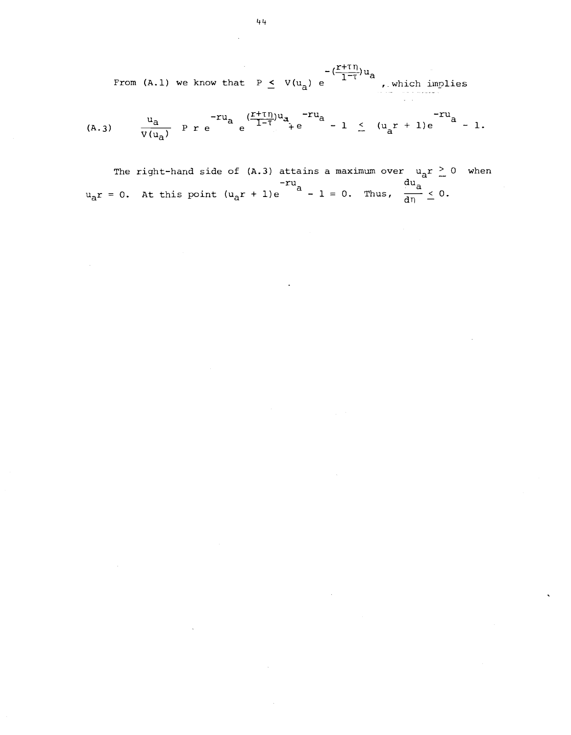$-\left(\frac{r+\tau\eta}{1-\tau}\right)u_{a}$ From (A.1) we know that  $P \leq V(u_a) e^{-\frac{1}{1-\tau}u_a}$ , which implies

(A.3) 
$$
u_{a} v_{u_{a}}
$$
  $\frac{u_{a}}{v(u_{a})}$   $\frac{1}{2}r^{2}u_{a} e^{\frac{(r+r_{1})}{1-r}u_{a}} + e^{-ru_{a}}$   $-1 \leq (u_{a}r + 1)e^{-ru_{a}}$   $-1$ .

The right-hand side of (A.3) attains a maximum over  $u_a r \ge 0$  when  $u_{a}r = 0$ . At this point  $(u_{a}r + 1)e^{r}$   $u_{a}r + 1 = 0$ . Thus,  $\frac{du_{a}}{d\eta} \leq 0$ .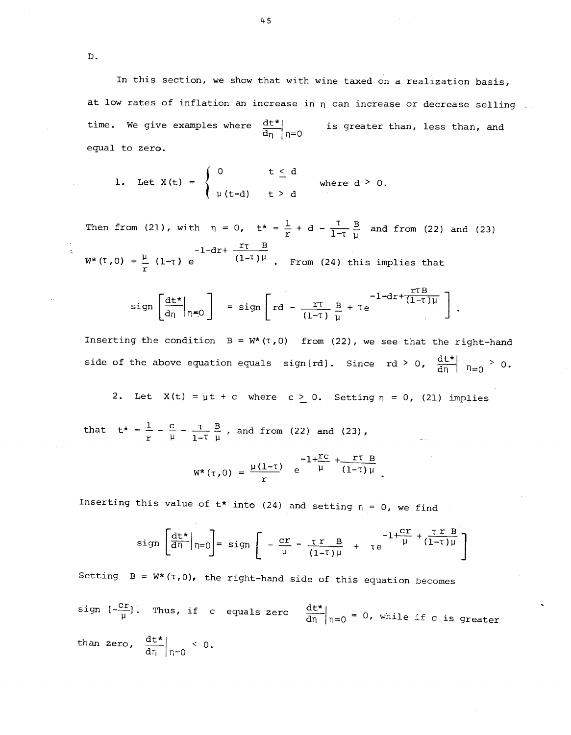In this section, we show that with wine taxed on a realization basis, at low rates of inflation an increase in  $\eta$  can increase or decrease selling  $\ldots$ time. We give examples where  $\frac{dE^*}{d\eta}\Big|_{\eta=0}$  is greater than, less than, and equal to zero.

1. Let 
$$
X(t) = \begin{cases} 0 & t \leq d \\ \mu(t-d) & t > d \end{cases}
$$
 where  $d > 0$ .

Then from (21), with  $\eta = 0$ ,  $t^* = \frac{1}{r} + d - \frac{\tau}{1-\tau} \frac{B}{\mu}$  and from (22) and (23)  $-1-dr+\frac{r\tau B}{dr}$  $W^*(T,0) = \frac{\mu}{T} (1-\tau) e$   $(1-\tau)$  (1-<sup>t</sup>)<sup> $\mu$ </sup>. From (24) this implies that

$$
sign\left[\frac{dt^*}{d\eta}\Big|_{\eta=0}\right] = sign\left[rd - \frac{r\tau}{(1-\tau)}\frac{B}{\mu} + \tau e^{-1-dr + \frac{r\tau B}{(1-\tau)\mu}}\right].
$$

Inserting the condition  $B = W^*(T, 0)$  from (22), we see that the right-hand side of the above equation equals sign[rd]. Since rd > 0,  $\frac{dt^*}{dn}$   $\eta_{=0}$  > 0.

2. Let  $X(t) = \mu t + c$  where  $c \ge 0$ . Setting  $\eta = 0$ , (21) implies

that  $t^* = \frac{1}{r} - \frac{c}{\mu} - \frac{\tau}{1-\tau} \frac{B}{\mu}$ , and from (22) and (23),

$$
W^*(\tau,0) = \frac{\mu(1-\tau)}{r} e^{-1+\frac{rc}{\mu} + \frac{r\tau}{(1-\tau)\mu}}.
$$

Inserting this value of  $t*$  into (24) and setting  $\eta = 0$ , we find

$$
sign\left[\frac{dt^*}{d\eta}\bigg|_{\eta=0}\right] = sign\left[-\frac{cr}{\mu} - \frac{\tau r}{(1-\tau)\mu} + \tau e^{-1+\frac{cr}{\mu} + \frac{\tau r}{(1-\tau)\mu}}\right]
$$

Setting  $B = W^*(T,0)$ , the right-hand side of this equation becomes sign  $[-\frac{cr}{\mu}]$ . Thus, if c equals zero  $\frac{dt^*}{d\eta}\Big|_{\eta=0} = 0$ , while if c is greater than zero,  $\frac{dt^*}{dt} \bigg|_{t=0} < 0$ .

45

D.